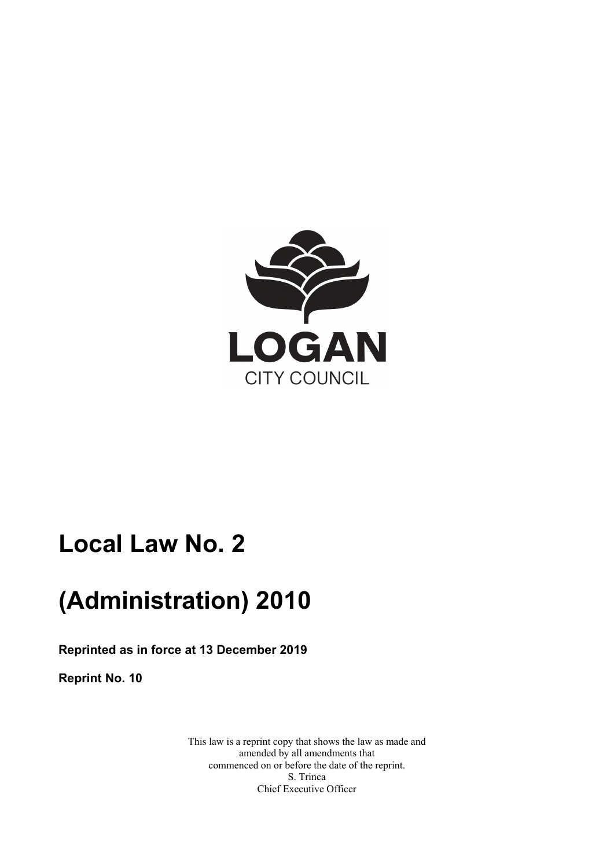

# **Local Law No. 2**

# **(Administration) 2010**

**Reprinted as in force at 13 December 2019** 

**Reprint No. 10** 

This law is a reprint copy that shows the law as made and amended by all amendments that commenced on or before the date of the reprint. S. Trinca Chief Executive Officer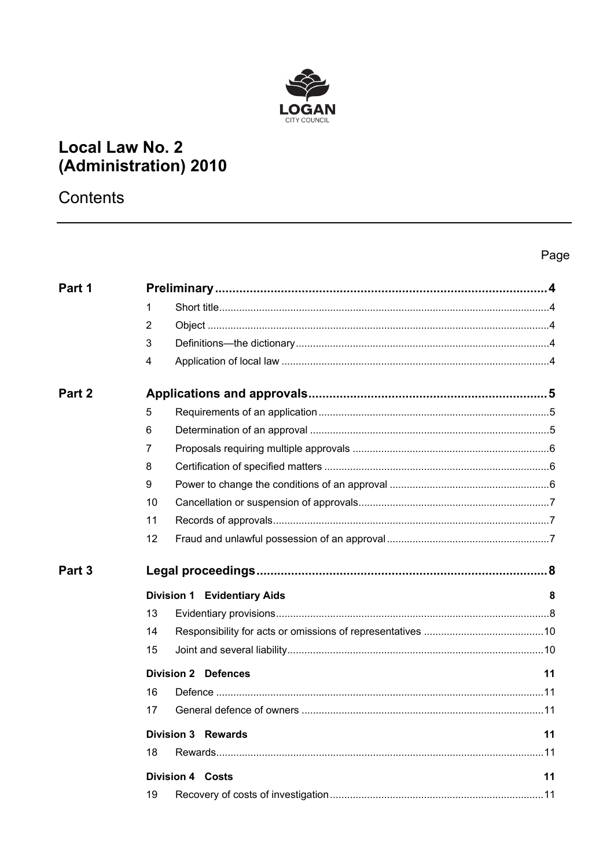

## **Local Law No. 2** (Administration) 2010

Contents

## Page

| Part 1            |                                    |    |  |
|-------------------|------------------------------------|----|--|
|                   | 1                                  |    |  |
|                   | 2                                  |    |  |
|                   | 3                                  |    |  |
|                   | 4                                  |    |  |
| Part <sub>2</sub> |                                    |    |  |
|                   | 5                                  |    |  |
|                   | 6                                  |    |  |
|                   | 7                                  |    |  |
|                   | 8                                  |    |  |
|                   | 9                                  |    |  |
|                   | 10                                 |    |  |
|                   | 11                                 |    |  |
|                   | 12                                 |    |  |
| Part <sub>3</sub> |                                    |    |  |
|                   | <b>Division 1 Evidentiary Aids</b> | 8  |  |
|                   | 13                                 |    |  |
|                   | 14                                 |    |  |
|                   | 15                                 |    |  |
|                   | <b>Division 2 Defences</b>         | 11 |  |
|                   | 16                                 |    |  |
|                   | 17                                 |    |  |
|                   | <b>Division 3 Rewards</b>          | 11 |  |
|                   | 18                                 |    |  |
|                   | <b>Division 4 Costs</b>            | 11 |  |
|                   | 19                                 |    |  |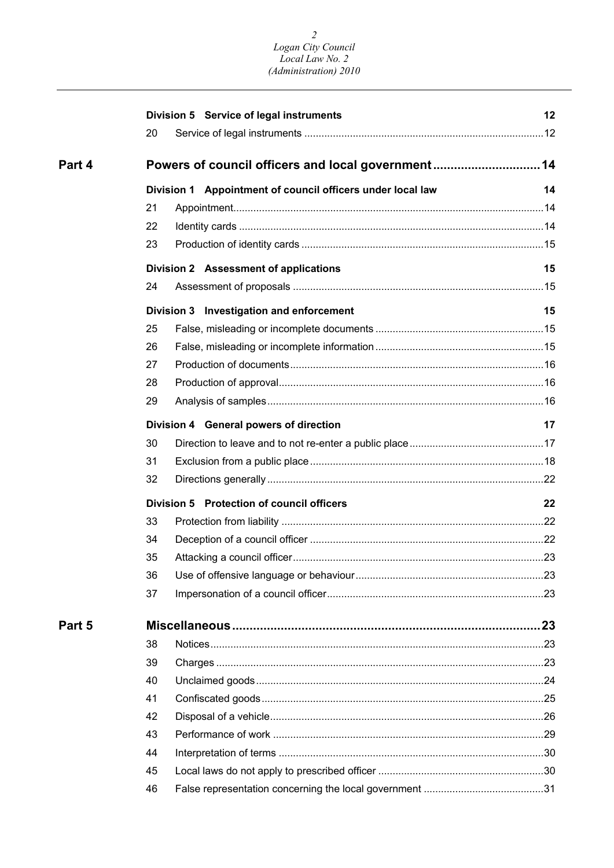#### *2 Logan City Council Local Law No. 2 (Administration) 2010*

|        | Division 5 Service of legal instruments                    | 12 |  |  |  |
|--------|------------------------------------------------------------|----|--|--|--|
|        | 20                                                         |    |  |  |  |
| Part 4 | Powers of council officers and local government14          |    |  |  |  |
|        | Division 1 Appointment of council officers under local law |    |  |  |  |
|        | 21                                                         |    |  |  |  |
|        | 22                                                         |    |  |  |  |
|        | 23                                                         |    |  |  |  |
|        | Division 2 Assessment of applications                      | 15 |  |  |  |
|        | 24                                                         |    |  |  |  |
|        | Division 3 Investigation and enforcement                   | 15 |  |  |  |
|        | 25                                                         |    |  |  |  |
|        | 26                                                         |    |  |  |  |
|        | 27                                                         |    |  |  |  |
|        | 28                                                         |    |  |  |  |
|        | 29                                                         |    |  |  |  |
|        | Division 4 General powers of direction                     |    |  |  |  |
|        | 30                                                         |    |  |  |  |
|        | 31                                                         |    |  |  |  |
|        | 32                                                         |    |  |  |  |
|        | Division 5 Protection of council officers<br>22            |    |  |  |  |
|        | 33                                                         |    |  |  |  |
|        | 34                                                         |    |  |  |  |
|        | 35                                                         |    |  |  |  |
|        | 36                                                         |    |  |  |  |
|        | 37                                                         |    |  |  |  |
| Part 5 |                                                            |    |  |  |  |
|        | 38                                                         |    |  |  |  |
|        | 39                                                         |    |  |  |  |
|        | 40                                                         |    |  |  |  |
|        | 41                                                         |    |  |  |  |
|        | 42                                                         |    |  |  |  |
|        | 43                                                         |    |  |  |  |
|        | 44                                                         |    |  |  |  |
|        | 45                                                         |    |  |  |  |
|        | 46                                                         |    |  |  |  |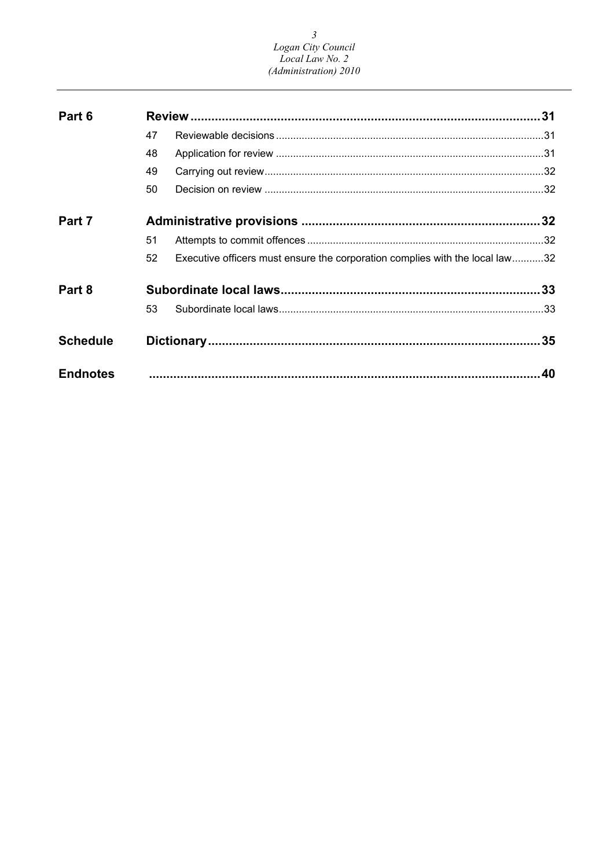## $\mathfrak{Z}$ Logan City Council<br>Local Law No. 2 (Administration) 2010

| Part 6          |    |                                                                              |    |
|-----------------|----|------------------------------------------------------------------------------|----|
|                 | 47 |                                                                              |    |
|                 | 48 |                                                                              |    |
|                 | 49 |                                                                              |    |
|                 | 50 |                                                                              |    |
| Part 7          |    |                                                                              |    |
|                 | 51 |                                                                              |    |
|                 | 52 | Executive officers must ensure the corporation complies with the local law32 |    |
| Part 8          |    |                                                                              |    |
|                 | 53 |                                                                              |    |
| <b>Schedule</b> |    |                                                                              |    |
| <b>Endnotes</b> |    |                                                                              | 40 |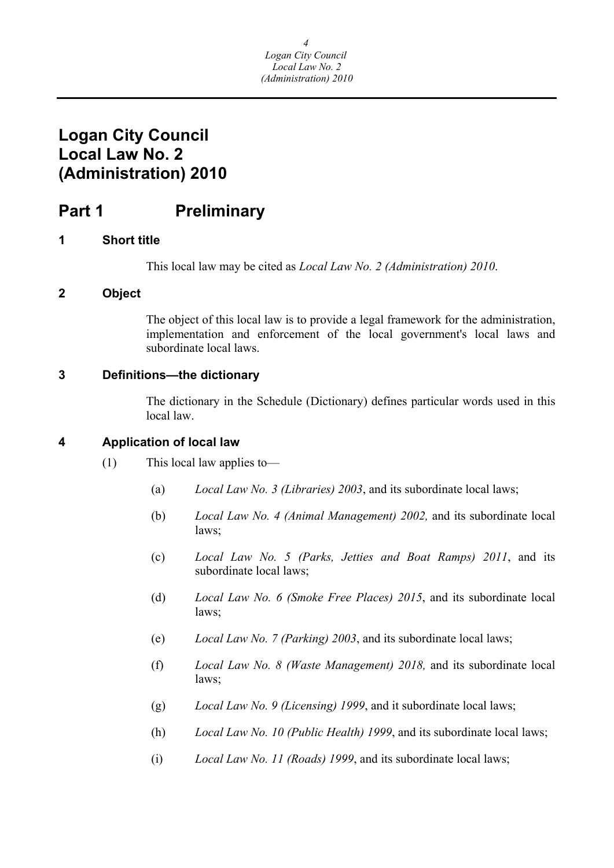## <span id="page-4-0"></span>**Logan City Council Local Law No. 2 (Administration) 2010**

## **Part 1** Preliminary

## **1 Short title**

This local law may be cited as *Local Law No. 2 (Administration) 2010*.

## **2 Object**

The object of this local law is to provide a legal framework for the administration, implementation and enforcement of the local government's local laws and subordinate local laws.

## **3 Definitions—the dictionary**

The dictionary in the Schedule (Dictionary) defines particular words used in this local law.

## **4 Application of local law**

- (1) This local law applies to—
	- (a) *Local Law No. 3 (Libraries) 2003*, and its subordinate local laws;
	- (b) *Local Law No. 4 (Animal Management) 2002,* and its subordinate local laws;
	- (c) *Local Law No. 5 (Parks, Jetties and Boat Ramps) 2011*, and its subordinate local laws;
	- (d) *Local Law No. 6 (Smoke Free Places) 2015*, and its subordinate local laws;
	- (e) *Local Law No. 7 (Parking) 2003*, and its subordinate local laws;
	- (f) *Local Law No. 8 (Waste Management) 2018,* and its subordinate local laws;
	- (g) *Local Law No. 9 (Licensing) 1999*, and it subordinate local laws;
	- (h) *Local Law No. 10 (Public Health) 1999*, and its subordinate local laws;
	- (i) *Local Law No. 11 (Roads) 1999*, and its subordinate local laws;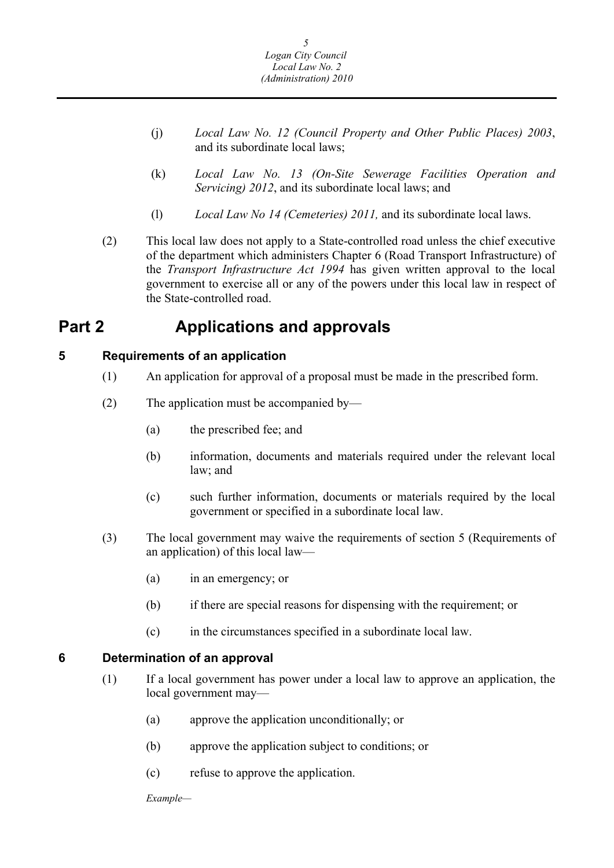- <span id="page-5-0"></span>(j) *Local Law No. 12 (Council Property and Other Public Places) 2003*, and its subordinate local laws;
- (k) *Local Law No. 13 (On-Site Sewerage Facilities Operation and Servicing) 2012*, and its subordinate local laws; and
- (l) *Local Law No 14 (Cemeteries) 2011,* and its subordinate local laws.
- (2) This local law does not apply to a State-controlled road unless the chief executive of the department which administers Chapter 6 (Road Transport Infrastructure) of the *Transport Infrastructure Act 1994* has given written approval to the local government to exercise all or any of the powers under this local law in respect of the State-controlled road.

## **Part 2 Applications and approvals**

## **5 Requirements of an application**

- (1) An application for approval of a proposal must be made in the prescribed form.
- (2) The application must be accompanied by—
	- (a) the prescribed fee; and
	- (b) information, documents and materials required under the relevant local law; and
	- (c) such further information, documents or materials required by the local government or specified in a subordinate local law.
- (3) The local government may waive the requirements of section 5 (Requirements of an application) of this local law—
	- (a) in an emergency; or
	- (b) if there are special reasons for dispensing with the requirement; or
	- (c) in the circumstances specified in a subordinate local law.

## **6 Determination of an approval**

- (1) If a local government has power under a local law to approve an application, the local government may—
	- (a) approve the application unconditionally; or
	- (b) approve the application subject to conditions; or
	- (c) refuse to approve the application.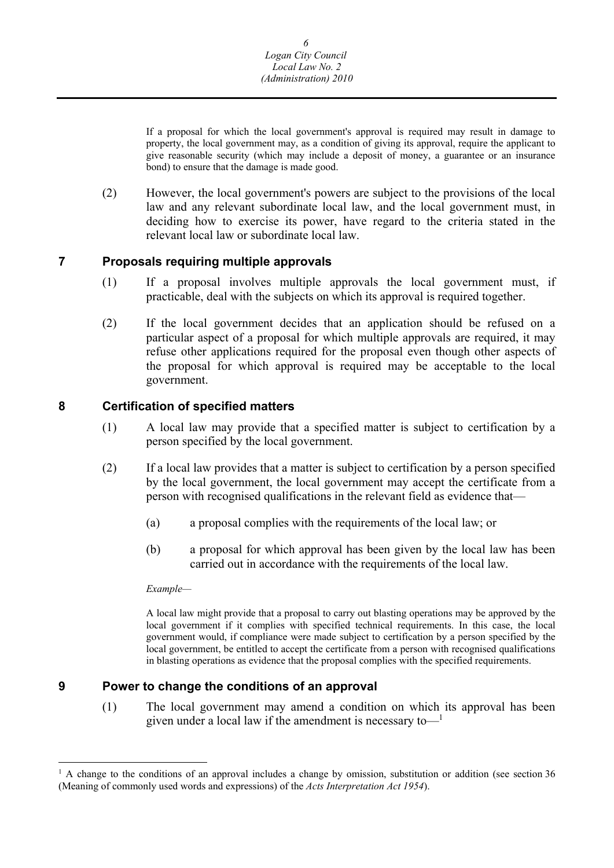<span id="page-6-0"></span>If a proposal for which the local government's approval is required may result in damage to property, the local government may, as a condition of giving its approval, require the applicant to give reasonable security (which may include a deposit of money, a guarantee or an insurance bond) to ensure that the damage is made good.

(2) However, the local government's powers are subject to the provisions of the local law and any relevant subordinate local law, and the local government must, in deciding how to exercise its power, have regard to the criteria stated in the relevant local law or subordinate local law.

## **7 Proposals requiring multiple approvals**

- (1) If a proposal involves multiple approvals the local government must, if practicable, deal with the subjects on which its approval is required together.
- (2) If the local government decides that an application should be refused on a particular aspect of a proposal for which multiple approvals are required, it may refuse other applications required for the proposal even though other aspects of the proposal for which approval is required may be acceptable to the local government.

## **8 Certification of specified matters**

- (1) A local law may provide that a specified matter is subject to certification by a person specified by the local government.
- (2) If a local law provides that a matter is subject to certification by a person specified by the local government, the local government may accept the certificate from a person with recognised qualifications in the relevant field as evidence that—
	- (a) a proposal complies with the requirements of the local law; or
	- (b) a proposal for which approval has been given by the local law has been carried out in accordance with the requirements of the local law.

#### *Example—*

 $\overline{a}$ 

 A local law might provide that a proposal to carry out blasting operations may be approved by the local government if it complies with specified technical requirements. In this case, the local government would, if compliance were made subject to certification by a person specified by the local government, be entitled to accept the certificate from a person with recognised qualifications in blasting operations as evidence that the proposal complies with the specified requirements.

## **9 Power to change the conditions of an approval**

(1) The local government may amend a condition on which its approval has been given under a local law if the amendment is necessary to  $\frac{1}{2}$ 

<sup>&</sup>lt;sup>1</sup> A change to the conditions of an approval includes a change by omission, substitution or addition (see section 36 (Meaning of commonly used words and expressions) of the *Acts Interpretation Act 1954*).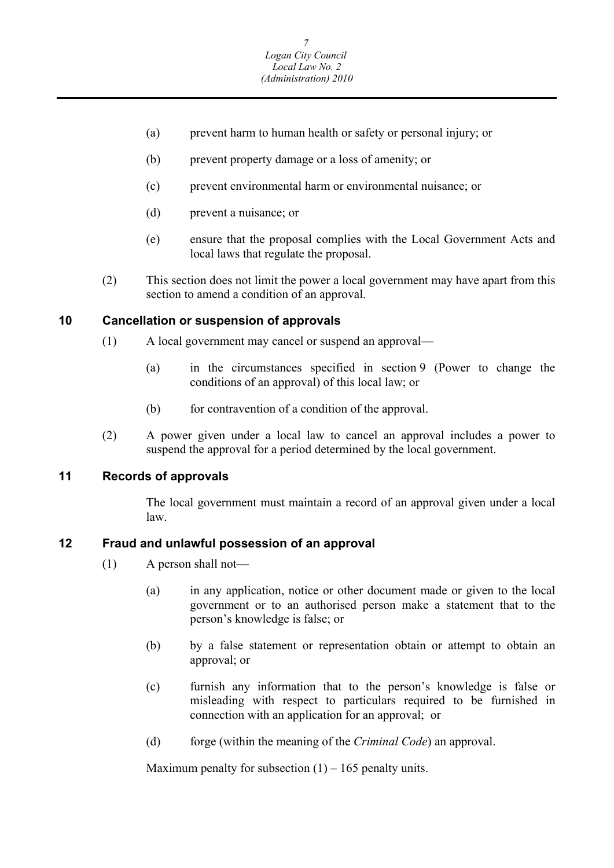- <span id="page-7-0"></span>(a) prevent harm to human health or safety or personal injury; or
- (b) prevent property damage or a loss of amenity; or
- (c) prevent environmental harm or environmental nuisance; or
- (d) prevent a nuisance; or
- (e) ensure that the proposal complies with the Local Government Acts and local laws that regulate the proposal.
- (2) This section does not limit the power a local government may have apart from this section to amend a condition of an approval.

#### **10 Cancellation or suspension of approvals**

- (1) A local government may cancel or suspend an approval—
	- (a) in the circumstances specified in section 9 (Power to change the conditions of an approval) of this local law; or
	- (b) for contravention of a condition of the approval.
- (2) A power given under a local law to cancel an approval includes a power to suspend the approval for a period determined by the local government.

#### **11 Records of approvals**

The local government must maintain a record of an approval given under a local law.

## **12 Fraud and unlawful possession of an approval**

- (1) A person shall not—
	- (a) in any application, notice or other document made or given to the local government or to an authorised person make a statement that to the person's knowledge is false; or
	- (b) by a false statement or representation obtain or attempt to obtain an approval; or
	- (c) furnish any information that to the person's knowledge is false or misleading with respect to particulars required to be furnished in connection with an application for an approval; or
	- (d) forge (within the meaning of the *Criminal Code*) an approval.

Maximum penalty for subsection  $(1) - 165$  penalty units.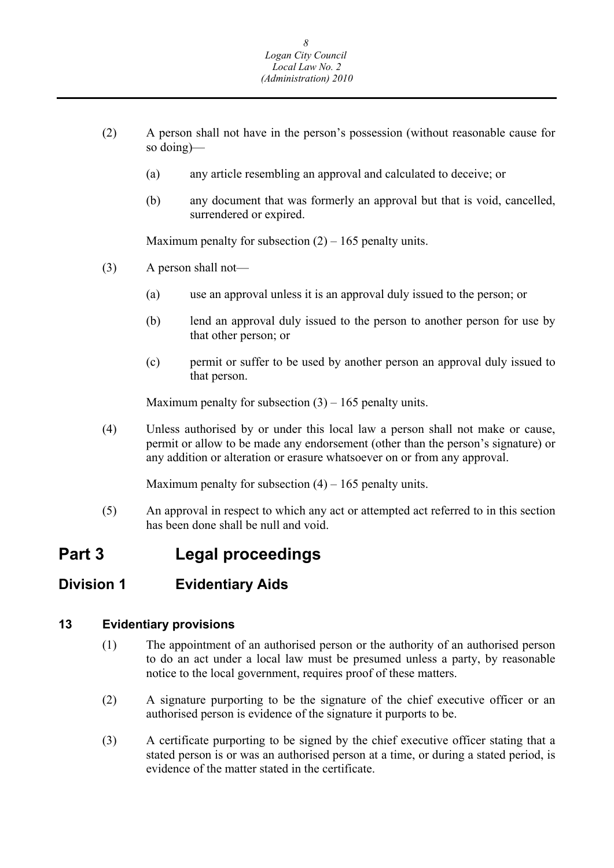- (2) A person shall not have in the person's possession (without reasonable cause for so doing)—
	- (a) any article resembling an approval and calculated to deceive; or
	- (b) any document that was formerly an approval but that is void, cancelled, surrendered or expired.

Maximum penalty for subsection  $(2) - 165$  penalty units.

- (3) A person shall not—
	- (a) use an approval unless it is an approval duly issued to the person; or
	- (b) lend an approval duly issued to the person to another person for use by that other person; or
	- (c) permit or suffer to be used by another person an approval duly issued to that person.

Maximum penalty for subsection  $(3) - 165$  penalty units.

(4) Unless authorised by or under this local law a person shall not make or cause, permit or allow to be made any endorsement (other than the person's signature) or any addition or alteration or erasure whatsoever on or from any approval.

Maximum penalty for subsection  $(4) - 165$  penalty units.

(5) An approval in respect to which any act or attempted act referred to in this section has been done shall be null and void.

## **Part 3 Legal proceedings**

## **Division 1 Evidentiary Aids**

#### **13 Evidentiary provisions**

- (1) The appointment of an authorised person or the authority of an authorised person to do an act under a local law must be presumed unless a party, by reasonable notice to the local government, requires proof of these matters.
- (2) A signature purporting to be the signature of the chief executive officer or an authorised person is evidence of the signature it purports to be.
- (3) A certificate purporting to be signed by the chief executive officer stating that a stated person is or was an authorised person at a time, or during a stated period, is evidence of the matter stated in the certificate.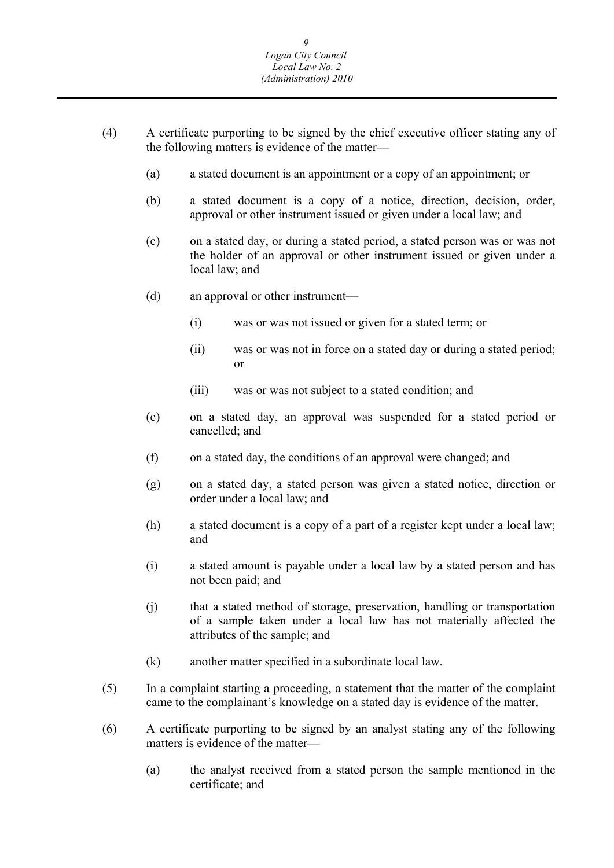- (4) A certificate purporting to be signed by the chief executive officer stating any of the following matters is evidence of the matter—
	- (a) a stated document is an appointment or a copy of an appointment; or
	- (b) a stated document is a copy of a notice, direction, decision, order, approval or other instrument issued or given under a local law; and
	- (c) on a stated day, or during a stated period, a stated person was or was not the holder of an approval or other instrument issued or given under a local law; and
	- (d) an approval or other instrument—
		- (i) was or was not issued or given for a stated term; or
		- (ii) was or was not in force on a stated day or during a stated period; or
		- (iii) was or was not subject to a stated condition; and
	- (e) on a stated day, an approval was suspended for a stated period or cancelled; and
	- (f) on a stated day, the conditions of an approval were changed; and
	- (g) on a stated day, a stated person was given a stated notice, direction or order under a local law; and
	- (h) a stated document is a copy of a part of a register kept under a local law; and
	- (i) a stated amount is payable under a local law by a stated person and has not been paid; and
	- (j) that a stated method of storage, preservation, handling or transportation of a sample taken under a local law has not materially affected the attributes of the sample; and
	- (k) another matter specified in a subordinate local law.
- (5) In a complaint starting a proceeding, a statement that the matter of the complaint came to the complainant's knowledge on a stated day is evidence of the matter.
- (6) A certificate purporting to be signed by an analyst stating any of the following matters is evidence of the matter—
	- (a) the analyst received from a stated person the sample mentioned in the certificate; and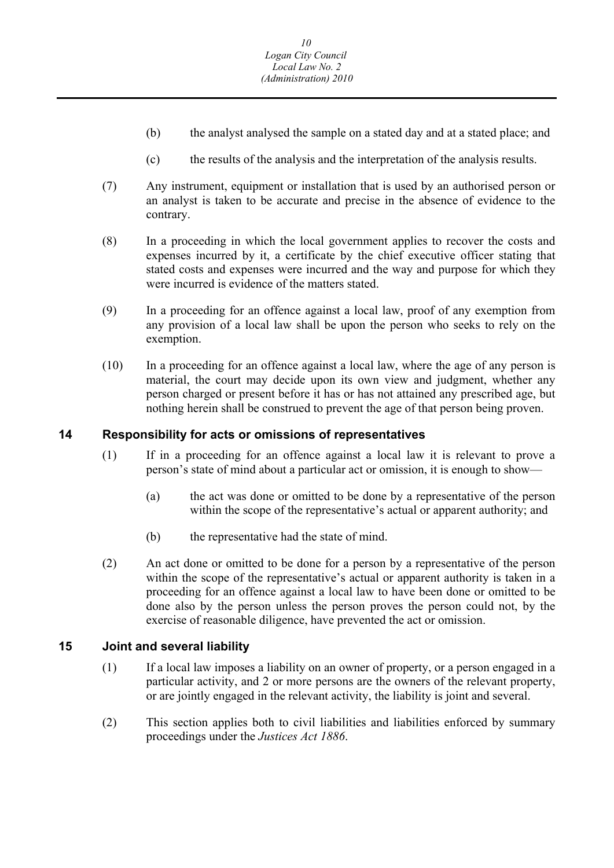- <span id="page-10-0"></span>(b) the analyst analysed the sample on a stated day and at a stated place; and
- (c) the results of the analysis and the interpretation of the analysis results.
- (7) Any instrument, equipment or installation that is used by an authorised person or an analyst is taken to be accurate and precise in the absence of evidence to the contrary.
- (8) In a proceeding in which the local government applies to recover the costs and expenses incurred by it, a certificate by the chief executive officer stating that stated costs and expenses were incurred and the way and purpose for which they were incurred is evidence of the matters stated.
- (9) In a proceeding for an offence against a local law, proof of any exemption from any provision of a local law shall be upon the person who seeks to rely on the exemption.
- (10) In a proceeding for an offence against a local law, where the age of any person is material, the court may decide upon its own view and judgment, whether any person charged or present before it has or has not attained any prescribed age, but nothing herein shall be construed to prevent the age of that person being proven.

### **14 Responsibility for acts or omissions of representatives**

- (1) If in a proceeding for an offence against a local law it is relevant to prove a person's state of mind about a particular act or omission, it is enough to show—
	- (a) the act was done or omitted to be done by a representative of the person within the scope of the representative's actual or apparent authority; and
	- (b) the representative had the state of mind.
- (2) An act done or omitted to be done for a person by a representative of the person within the scope of the representative's actual or apparent authority is taken in a proceeding for an offence against a local law to have been done or omitted to be done also by the person unless the person proves the person could not, by the exercise of reasonable diligence, have prevented the act or omission.

## **15 Joint and several liability**

- (1) If a local law imposes a liability on an owner of property, or a person engaged in a particular activity, and 2 or more persons are the owners of the relevant property, or are jointly engaged in the relevant activity, the liability is joint and several.
- (2) This section applies both to civil liabilities and liabilities enforced by summary proceedings under the *Justices Act 1886*.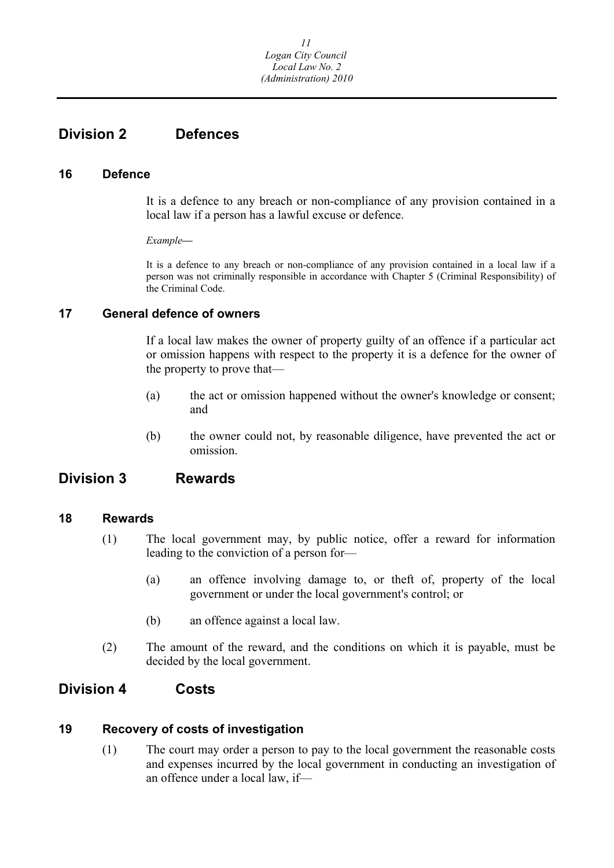## <span id="page-11-0"></span>**Division 2 Defences**

### **16 Defence**

It is a defence to any breach or non-compliance of any provision contained in a local law if a person has a lawful excuse or defence.

*Example***—** 

It is a defence to any breach or non-compliance of any provision contained in a local law if a person was not criminally responsible in accordance with Chapter 5 (Criminal Responsibility) of the Criminal Code.

## **17 General defence of owners**

If a local law makes the owner of property guilty of an offence if a particular act or omission happens with respect to the property it is a defence for the owner of the property to prove that—

- (a) the act or omission happened without the owner's knowledge or consent; and
- (b) the owner could not, by reasonable diligence, have prevented the act or omission.

## **Division 3 Rewards**

## **18 Rewards**

- (1) The local government may, by public notice, offer a reward for information leading to the conviction of a person for—
	- (a) an offence involving damage to, or theft of, property of the local government or under the local government's control; or
	- (b) an offence against a local law.
- (2) The amount of the reward, and the conditions on which it is payable, must be decided by the local government.

## **Division 4 Costs**

## **19 Recovery of costs of investigation**

(1) The court may order a person to pay to the local government the reasonable costs and expenses incurred by the local government in conducting an investigation of an offence under a local law, if—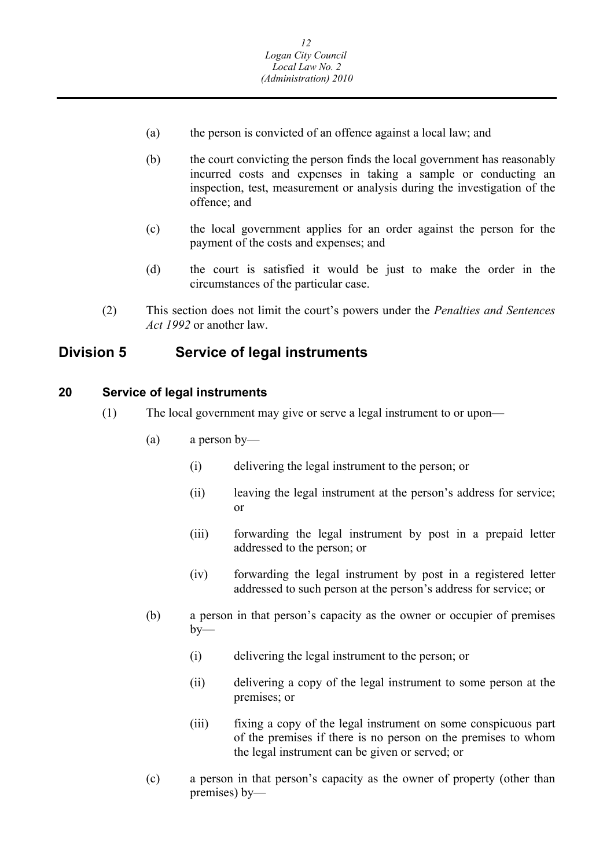- <span id="page-12-0"></span>(a) the person is convicted of an offence against a local law; and
- (b) the court convicting the person finds the local government has reasonably incurred costs and expenses in taking a sample or conducting an inspection, test, measurement or analysis during the investigation of the offence; and
- (c) the local government applies for an order against the person for the payment of the costs and expenses; and
- (d) the court is satisfied it would be just to make the order in the circumstances of the particular case.
- (2) This section does not limit the court's powers under the *Penalties and Sentences Act 1992* or another law.

## **Division 5 Service of legal instruments**

#### **20 Service of legal instruments**

- (1) The local government may give or serve a legal instrument to or upon—
	- (a) a person by—
		- (i) delivering the legal instrument to the person; or
		- (ii) leaving the legal instrument at the person's address for service; or
		- (iii) forwarding the legal instrument by post in a prepaid letter addressed to the person; or
		- (iv) forwarding the legal instrument by post in a registered letter addressed to such person at the person's address for service; or
	- (b) a person in that person's capacity as the owner or occupier of premises  $by-$ 
		- (i) delivering the legal instrument to the person; or
		- (ii) delivering a copy of the legal instrument to some person at the premises; or
		- (iii) fixing a copy of the legal instrument on some conspicuous part of the premises if there is no person on the premises to whom the legal instrument can be given or served; or
	- (c) a person in that person's capacity as the owner of property (other than premises) by—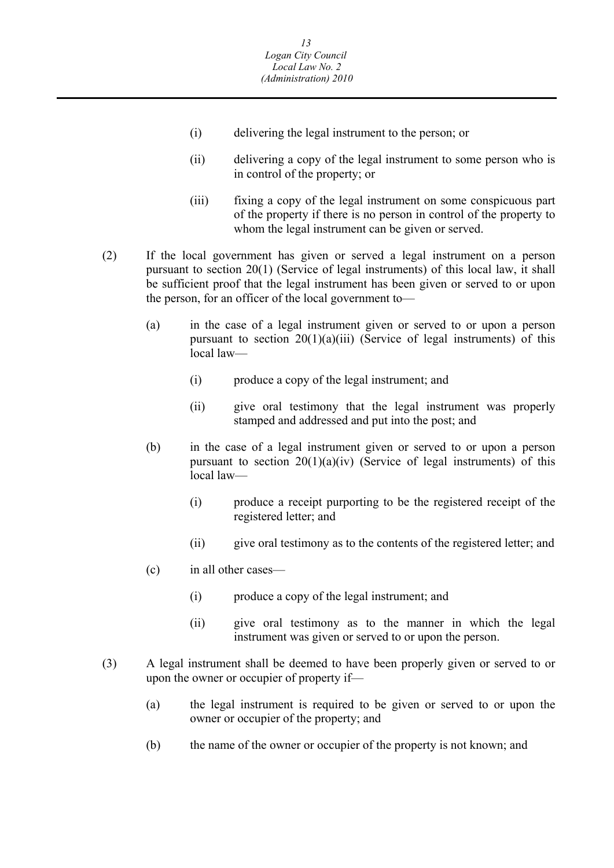- (i) delivering the legal instrument to the person; or
- (ii) delivering a copy of the legal instrument to some person who is in control of the property; or
- (iii) fixing a copy of the legal instrument on some conspicuous part of the property if there is no person in control of the property to whom the legal instrument can be given or served.
- (2) If the local government has given or served a legal instrument on a person pursuant to section 20(1) (Service of legal instruments) of this local law, it shall be sufficient proof that the legal instrument has been given or served to or upon the person, for an officer of the local government to—
	- (a) in the case of a legal instrument given or served to or upon a person pursuant to section  $20(1)(a)(iii)$  (Service of legal instruments) of this local law—
		- (i) produce a copy of the legal instrument; and
		- (ii) give oral testimony that the legal instrument was properly stamped and addressed and put into the post; and
	- (b) in the case of a legal instrument given or served to or upon a person pursuant to section  $20(1)(a)(iv)$  (Service of legal instruments) of this local law—
		- (i) produce a receipt purporting to be the registered receipt of the registered letter; and
		- (ii) give oral testimony as to the contents of the registered letter; and
	- (c) in all other cases—
		- (i) produce a copy of the legal instrument; and
		- (ii) give oral testimony as to the manner in which the legal instrument was given or served to or upon the person.
- (3) A legal instrument shall be deemed to have been properly given or served to or upon the owner or occupier of property if—
	- (a) the legal instrument is required to be given or served to or upon the owner or occupier of the property; and
	- (b) the name of the owner or occupier of the property is not known; and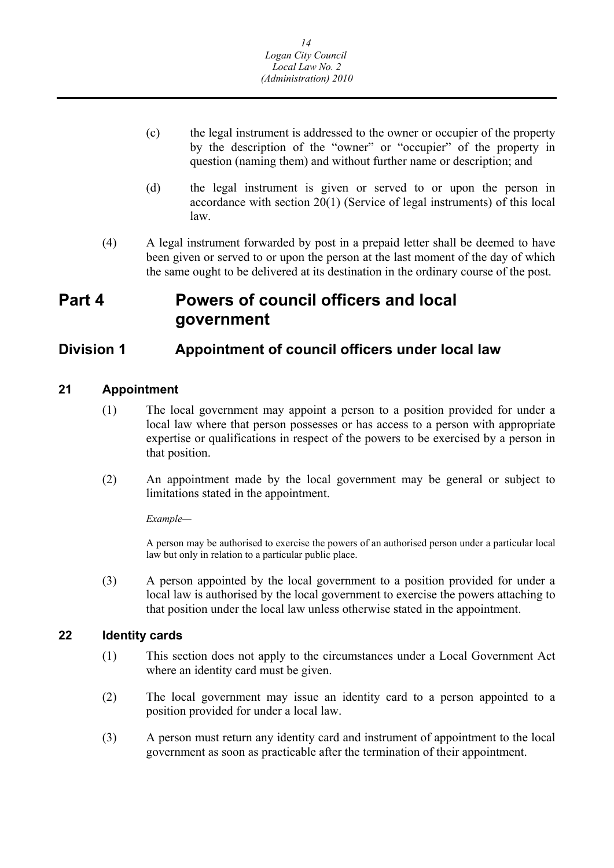- (c) the legal instrument is addressed to the owner or occupier of the property by the description of the "owner" or "occupier" of the property in question (naming them) and without further name or description; and
- (d) the legal instrument is given or served to or upon the person in accordance with section 20(1) (Service of legal instruments) of this local law.
- (4) A legal instrument forwarded by post in a prepaid letter shall be deemed to have been given or served to or upon the person at the last moment of the day of which the same ought to be delivered at its destination in the ordinary course of the post.

## **Part 4 Powers of council officers and local government**

## **Division 1 Appointment of council officers under local law**

## **21 Appointment**

- (1) The local government may appoint a person to a position provided for under a local law where that person possesses or has access to a person with appropriate expertise or qualifications in respect of the powers to be exercised by a person in that position.
- (2) An appointment made by the local government may be general or subject to limitations stated in the appointment.

*Example—* 

A person may be authorised to exercise the powers of an authorised person under a particular local law but only in relation to a particular public place.

(3) A person appointed by the local government to a position provided for under a local law is authorised by the local government to exercise the powers attaching to that position under the local law unless otherwise stated in the appointment.

## **22 Identity cards**

- where an identity card must be given. (1) This section does not apply to the circumstances under a Local Government Act
- $\alpha$  The local government may issue an identity card to a person appointed to a position provided for under a local law.
- (3) A person must return any identity card and instrument of appointment to the local government as soon as practicable after the termination of their appointment.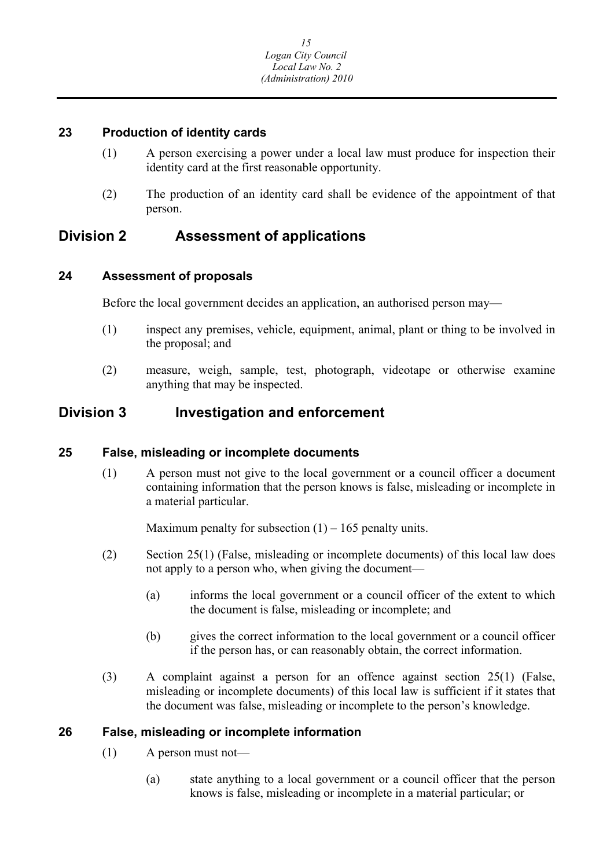## <span id="page-15-0"></span>**23 Production of identity cards**

- (1) A person exercising a power under a local law must produce for inspection their identity card at the first reasonable opportunity.
- (2) The production of an identity card shall be evidence of the appointment of that person.

## **Division 2 Assessment of applications**

## **24 Assessment of proposals**

Before the local government decides an application, an authorised person may—

- (1) inspect any premises, vehicle, equipment, animal, plant or thing to be involved in the proposal; and
- (2) measure, weigh, sample, test, photograph, videotape or otherwise examine anything that may be inspected.

## **Division 3 Investigation and enforcement**

## **25 False, misleading or incomplete documents**

(1) A person must not give to the local government or a council officer a document containing information that the person knows is false, misleading or incomplete in a material particular.

Maximum penalty for subsection  $(1) - 165$  penalty units.

- (2) Section 25(1) (False, misleading or incomplete documents) of this local law does not apply to a person who, when giving the document—
	- (a) informs the local government or a council officer of the extent to which the document is false, misleading or incomplete; and
	- (b) gives the correct information to the local government or a council officer if the person has, or can reasonably obtain, the correct information.
- (3) A complaint against a person for an offence against section 25(1) (False, misleading or incomplete documents) of this local law is sufficient if it states that the document was false, misleading or incomplete to the person's knowledge.

## **26 False, misleading or incomplete information**

- (1) A person must not—
	- (a) state anything to a local government or a council officer that the person knows is false, misleading or incomplete in a material particular; or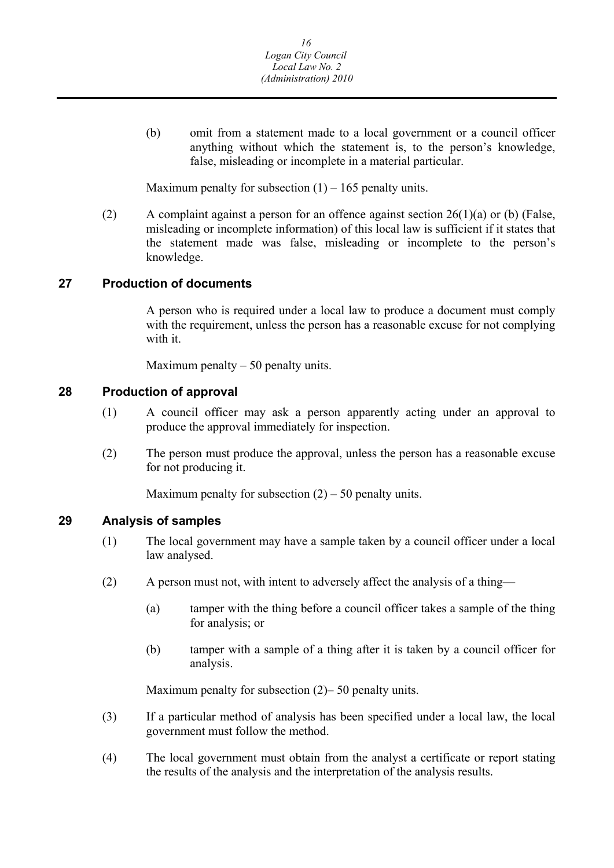<span id="page-16-0"></span>(b) omit from a statement made to a local government or a council officer anything without which the statement is, to the person's knowledge, false, misleading or incomplete in a material particular.

Maximum penalty for subsection  $(1) - 165$  penalty units.

(2) A complaint against a person for an offence against section  $26(1)(a)$  or (b) (False, misleading or incomplete information) of this local law is sufficient if it states that the statement made was false, misleading or incomplete to the person's knowledge.

#### **27 Production of documents**

A person who is required under a local law to produce a document must comply with the requirement, unless the person has a reasonable excuse for not complying with it.

Maximum penalty  $-50$  penalty units.

#### **28 Production of approval**

- (1) A council officer may ask a person apparently acting under an approval to produce the approval immediately for inspection.
- (2) The person must produce the approval, unless the person has a reasonable excuse for not producing it.

Maximum penalty for subsection  $(2)$  – 50 penalty units.

#### **29 Analysis of samples**

- (1) The local government may have a sample taken by a council officer under a local law analysed.
- (2) A person must not, with intent to adversely affect the analysis of a thing—
	- (a) tamper with the thing before a council officer takes a sample of the thing for analysis; or
	- (b) tamper with a sample of a thing after it is taken by a council officer for analysis.

Maximum penalty for subsection (2)– 50 penalty units.

- (3) If a particular method of analysis has been specified under a local law, the local government must follow the method.
- (4) The local government must obtain from the analyst a certificate or report stating the results of the analysis and the interpretation of the analysis results.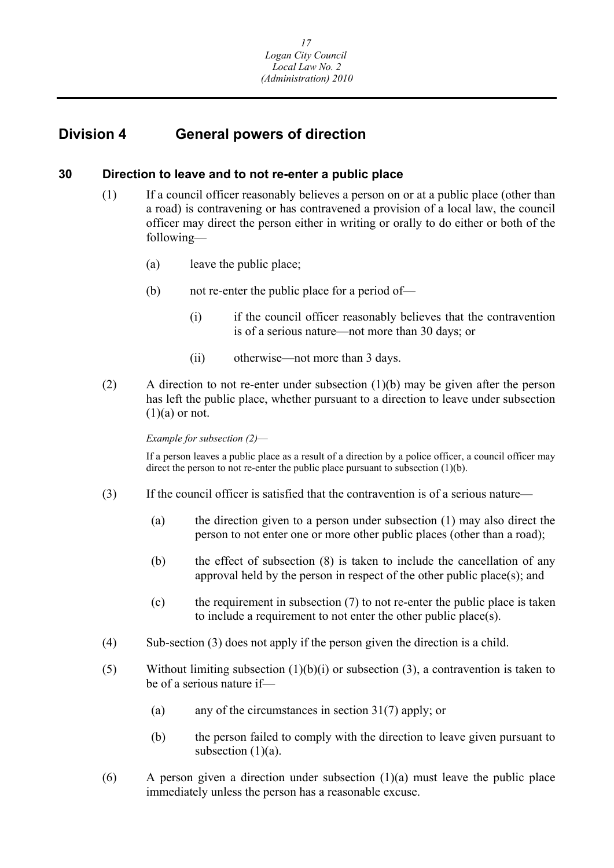## <span id="page-17-0"></span>**Division 4 General powers of direction**

#### **30 Direction to leave and to not re-enter a public place**

- (1) If a council officer reasonably believes a person on or at a public place (other than a road) is contravening or has contravened a provision of a local law, the council officer may direct the person either in writing or orally to do either or both of the following—
	- (a) leave the public place;
	- (b) not re-enter the public place for a period of—
		- (i) if the council officer reasonably believes that the contravention is of a serious nature—not more than 30 days; or
		- (ii) otherwise—not more than 3 days.
- (2) A direction to not re-enter under subsection (1)(b) may be given after the person has left the public place, whether pursuant to a direction to leave under subsection  $(1)(a)$  or not.

#### *Example for subsection (2)*—

If a person leaves a public place as a result of a direction by a police officer, a council officer may direct the person to not re-enter the public place pursuant to subsection (1)(b).

- (3) If the council officer is satisfied that the contravention is of a serious nature—
	- (a) the direction given to a person under subsection (1) may also direct the person to not enter one or more other public places (other than a road);
	- (b) the effect of subsection (8) is taken to include the cancellation of any approval held by the person in respect of the other public place(s); and
	- (c) the requirement in subsection (7) to not re-enter the public place is taken to include a requirement to not enter the other public place(s).
- (4) Sub-section (3) does not apply if the person given the direction is a child.
- (5) Without limiting subsection  $(1)(b)(i)$  or subsection  $(3)$ , a contravention is taken to be of a serious nature if—
	- (a) any of the circumstances in section 31(7) apply; or
	- (b) the person failed to comply with the direction to leave given pursuant to subsection  $(1)(a)$ .
- (6) A person given a direction under subsection (1)(a) must leave the public place immediately unless the person has a reasonable excuse.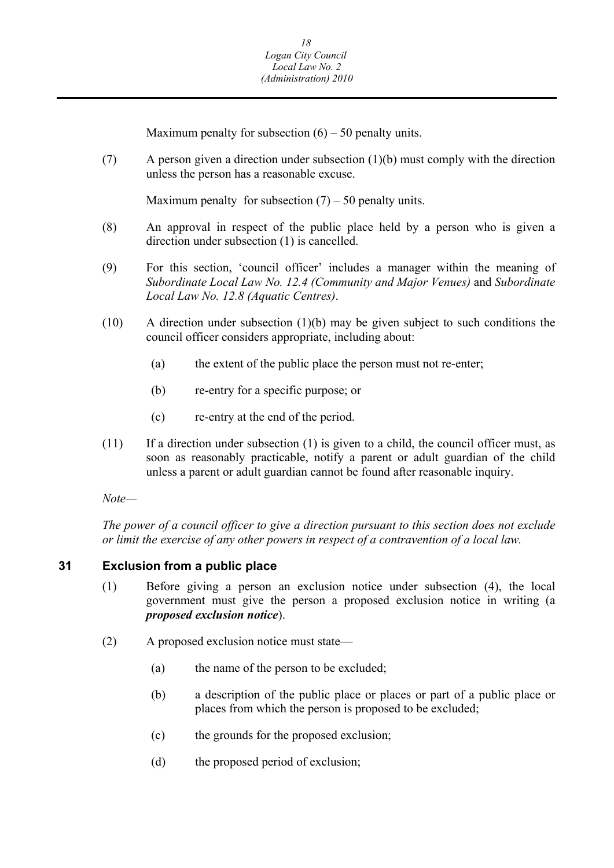Maximum penalty for subsection  $(6) - 50$  penalty units.

<span id="page-18-0"></span>(7) A person given a direction under subsection (1)(b) must comply with the direction unless the person has a reasonable excuse.

Maximum penalty for subsection  $(7)$  – 50 penalty units.

- (8) An approval in respect of the public place held by a person who is given a direction under subsection (1) is cancelled.
- (9) For this section, 'council officer' includes a manager within the meaning of *Subordinate Local Law No. 12.4 (Community and Major Venues)* and *Subordinate Local Law No. 12.8 (Aquatic Centres)*.
- (10) A direction under subsection (1)(b) may be given subject to such conditions the council officer considers appropriate, including about:
	- (a) the extent of the public place the person must not re-enter;
	- (b) re-entry for a specific purpose; or
	- (c) re-entry at the end of the period.
- $(11)$  If a direction under subsection  $(1)$  is given to a child, the council officer must, as soon as reasonably practicable, notify a parent or adult guardian of the child unless a parent or adult guardian cannot be found after reasonable inquiry.

*Note—* 

*The power of a council officer to give a direction pursuant to this section does not exclude or limit the exercise of any other powers in respect of a contravention of a local law.* 

#### **31 Exclusion from a public place**

- (1) Before giving a person an exclusion notice under subsection (4), the local government must give the person a proposed exclusion notice in writing (a *proposed exclusion notice*).
- (2) A proposed exclusion notice must state—
	- (a) the name of the person to be excluded;
	- (b) a description of the public place or places or part of a public place or places from which the person is proposed to be excluded;
	- (c) the grounds for the proposed exclusion;
	- (d) the proposed period of exclusion;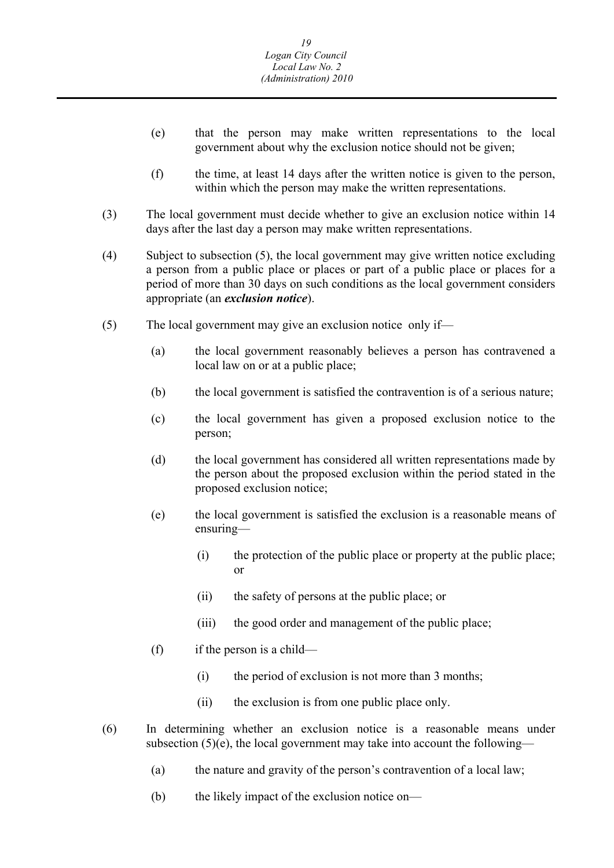- (e) that the person may make written representations to the local government about why the exclusion notice should not be given;
- (f) the time, at least 14 days after the written notice is given to the person, within which the person may make the written representations.
- (3) The local government must decide whether to give an exclusion notice within 14 days after the last day a person may make written representations.
- (4) Subject to subsection (5), the local government may give written notice excluding a person from a public place or places or part of a public place or places for a period of more than 30 days on such conditions as the local government considers appropriate (an *exclusion notice*).
- (5) The local government may give an exclusion notice only if—
	- (a) the local government reasonably believes a person has contravened a local law on or at a public place;
	- (b) the local government is satisfied the contravention is of a serious nature;
	- (c) the local government has given a proposed exclusion notice to the person;
	- (d) the local government has considered all written representations made by the person about the proposed exclusion within the period stated in the proposed exclusion notice;
	- (e) the local government is satisfied the exclusion is a reasonable means of ensuring—
		- (i) the protection of the public place or property at the public place; or
		- (ii) the safety of persons at the public place; or
		- (iii) the good order and management of the public place;
	- (f) if the person is a child—
		- (i) the period of exclusion is not more than 3 months;
		- (ii) the exclusion is from one public place only.
- (6) In determining whether an exclusion notice is a reasonable means under subsection  $(5)(e)$ , the local government may take into account the following—
	- (a) the nature and gravity of the person's contravention of a local law;
	- (b) the likely impact of the exclusion notice on—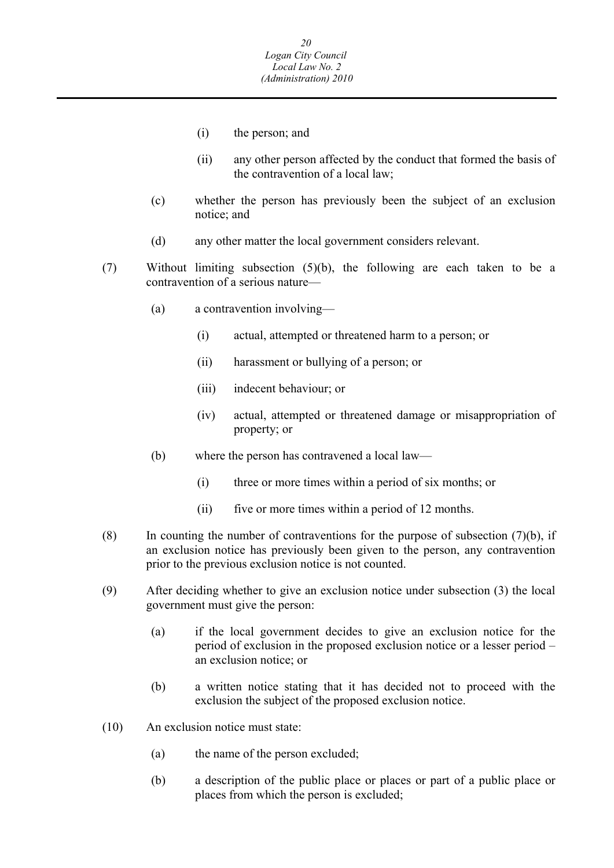- (i) the person; and
- (ii) any other person affected by the conduct that formed the basis of the contravention of a local law;
- (c) whether the person has previously been the subject of an exclusion notice; and
- (d) any other matter the local government considers relevant.
- (7) Without limiting subsection (5)(b), the following are each taken to be a contravention of a serious nature—
	- (a) a contravention involving—
		- (i) actual, attempted or threatened harm to a person; or
		- (ii) harassment or bullying of a person; or
		- (iii) indecent behaviour; or
		- (iv) actual, attempted or threatened damage or misappropriation of property; or
	- (b) where the person has contravened a local law—
		- (i) three or more times within a period of six months; or
		- (ii) five or more times within a period of 12 months.
- (8) In counting the number of contraventions for the purpose of subsection  $(7)(b)$ , if an exclusion notice has previously been given to the person, any contravention prior to the previous exclusion notice is not counted.
- (9) After deciding whether to give an exclusion notice under subsection (3) the local government must give the person:
	- (a) if the local government decides to give an exclusion notice for the period of exclusion in the proposed exclusion notice or a lesser period – an exclusion notice; or
	- (b) a written notice stating that it has decided not to proceed with the exclusion the subject of the proposed exclusion notice.
- (10) An exclusion notice must state:
	- (a) the name of the person excluded;
	- (b) a description of the public place or places or part of a public place or places from which the person is excluded;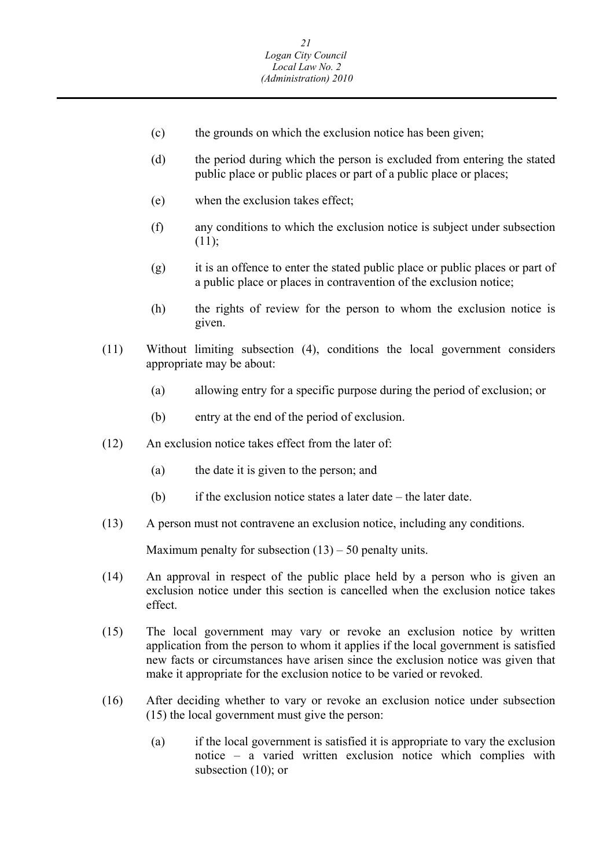- (c) the grounds on which the exclusion notice has been given;
- (d) the period during which the person is excluded from entering the stated public place or public places or part of a public place or places;
- (e) when the exclusion takes effect;
- (f) any conditions to which the exclusion notice is subject under subsection  $(11);$
- (g) it is an offence to enter the stated public place or public places or part of a public place or places in contravention of the exclusion notice;
- (h) the rights of review for the person to whom the exclusion notice is given.
- (11) Without limiting subsection (4), conditions the local government considers appropriate may be about:
	- (a) allowing entry for a specific purpose during the period of exclusion; or
	- (b) entry at the end of the period of exclusion.
- (12) An exclusion notice takes effect from the later of:
	- (a) the date it is given to the person; and
	- (b) if the exclusion notice states a later date the later date.
- (13) A person must not contravene an exclusion notice, including any conditions.

Maximum penalty for subsection  $(13) - 50$  penalty units.

- (14) An approval in respect of the public place held by a person who is given an exclusion notice under this section is cancelled when the exclusion notice takes effect.
- (15) The local government may vary or revoke an exclusion notice by written application from the person to whom it applies if the local government is satisfied new facts or circumstances have arisen since the exclusion notice was given that make it appropriate for the exclusion notice to be varied or revoked.
- (16) After deciding whether to vary or revoke an exclusion notice under subsection (15) the local government must give the person:
	- (a) if the local government is satisfied it is appropriate to vary the exclusion notice – a varied written exclusion notice which complies with subsection (10); or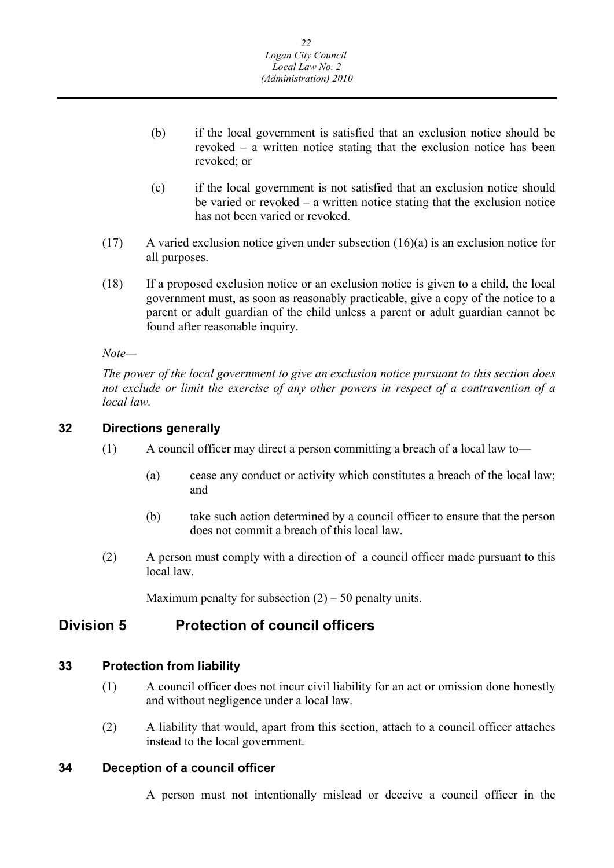- <span id="page-22-0"></span>(b) if the local government is satisfied that an exclusion notice should be revoked – a written notice stating that the exclusion notice has been revoked; or
- (c) if the local government is not satisfied that an exclusion notice should be varied or revoked – a written notice stating that the exclusion notice has not been varied or revoked.
- (17) A varied exclusion notice given under subsection (16)(a) is an exclusion notice for all purposes.
- (18) If a proposed exclusion notice or an exclusion notice is given to a child, the local government must, as soon as reasonably practicable, give a copy of the notice to a parent or adult guardian of the child unless a parent or adult guardian cannot be found after reasonable inquiry.

*Note—* 

*The power of the local government to give an exclusion notice pursuant to this section does not exclude or limit the exercise of any other powers in respect of a contravention of a local law.* 

## **32 Directions generally**

- (1) A council officer may direct a person committing a breach of a local law to—
	- (a) cease any conduct or activity which constitutes a breach of the local law; and
	- (b) take such action determined by a council officer to ensure that the person does not commit a breach of this local law.
- (2) A person must comply with a direction of a council officer made pursuant to this local law.

Maximum penalty for subsection  $(2) - 50$  penalty units.

## **Division 5 Protection of council officers**

## **33 Protection from liability**

- (1) A council officer does not incur civil liability for an act or omission done honestly and without negligence under a local law.
- (2) A liability that would, apart from this section, attach to a council officer attaches instead to the local government.

## **34 Deception of a council officer**

A person must not intentionally mislead or deceive a council officer in the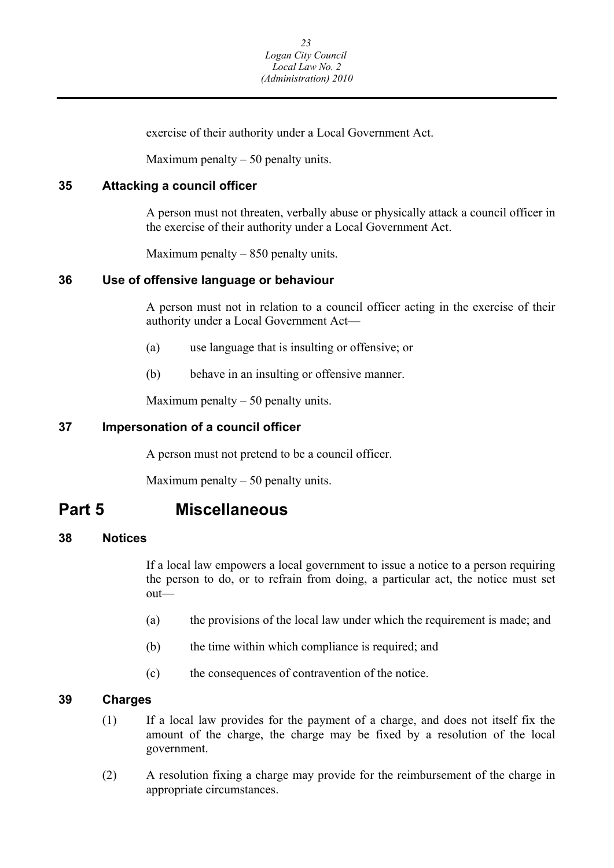exercise of their authority under a Local Government Act.

Maximum penalty  $-50$  penalty units.

### <span id="page-23-0"></span>**35 Attacking a council officer**

A person must not threaten, verbally abuse or physically attack a council officer in the exercise of their authority under a Local Government Act.

Maximum penalty – 850 penalty units.

#### **36 Use of offensive language or behaviour**

A person must not in relation to a council officer acting in the exercise of their authority under a Local Government Act—

- (a) use language that is insulting or offensive; or
- (b) behave in an insulting or offensive manner.

Maximum penalty  $-50$  penalty units.

## **37 Impersonation of a council officer**

A person must not pretend to be a council officer.

Maximum penalty  $-50$  penalty units.

## **Part 5 Miscellaneous**

#### **38 Notices**

If a local law empowers a local government to issue a notice to a person requiring the person to do, or to refrain from doing, a particular act, the notice must set out—

- (a) the provisions of the local law under which the requirement is made; and
- (b) the time within which compliance is required; and
- (c) the consequences of contravention of the notice.

## **39 Charges**

- (1) If a local law provides for the payment of a charge, and does not itself fix the amount of the charge, the charge may be fixed by a resolution of the local government.
- (2) A resolution fixing a charge may provide for the reimbursement of the charge in appropriate circumstances.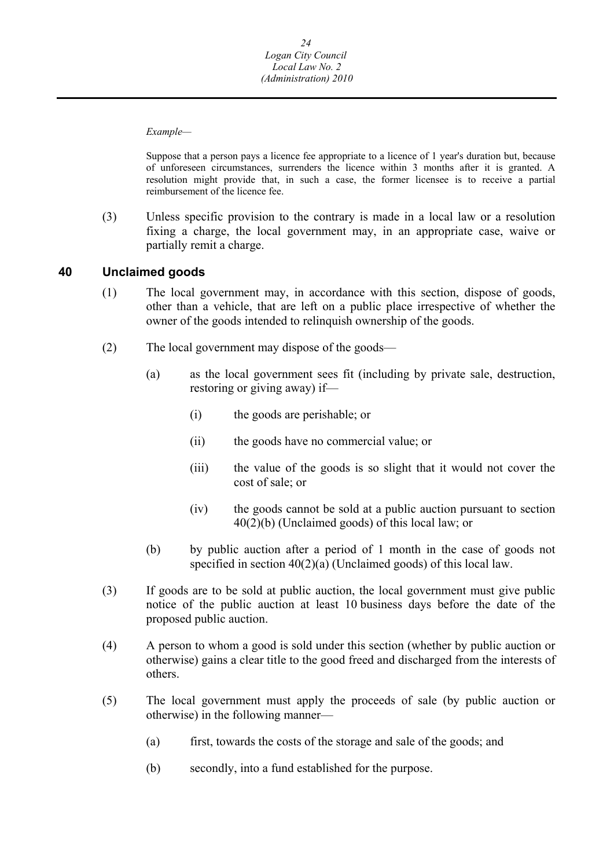<span id="page-24-0"></span> *Example—* 

Suppose that a person pays a licence fee appropriate to a licence of 1 year's duration but, because of unforeseen circumstances, surrenders the licence within 3 months after it is granted. A resolution might provide that, in such a case, the former licensee is to receive a partial reimbursement of the licence fee.

(3) Unless specific provision to the contrary is made in a local law or a resolution fixing a charge, the local government may, in an appropriate case, waive or partially remit a charge.

#### **40 Unclaimed goods**

- (1) The local government may, in accordance with this section, dispose of goods, other than a vehicle, that are left on a public place irrespective of whether the owner of the goods intended to relinquish ownership of the goods.
- (2) The local government may dispose of the goods—
	- (a) as the local government sees fit (including by private sale, destruction, restoring or giving away) if—
		- (i) the goods are perishable; or
		- (ii) the goods have no commercial value; or
		- (iii) the value of the goods is so slight that it would not cover the cost of sale; or
		- (iv) the goods cannot be sold at a public auction pursuant to section 40(2)(b) (Unclaimed goods) of this local law; or
	- (b) by public auction after a period of 1 month in the case of goods not specified in section 40(2)(a) (Unclaimed goods) of this local law.
- (3) If goods are to be sold at public auction, the local government must give public notice of the public auction at least 10 business days before the date of the proposed public auction.
- (4) A person to whom a good is sold under this section (whether by public auction or otherwise) gains a clear title to the good freed and discharged from the interests of others.
- (5) The local government must apply the proceeds of sale (by public auction or otherwise) in the following manner—
	- (a) first, towards the costs of the storage and sale of the goods; and
	- (b) secondly, into a fund established for the purpose.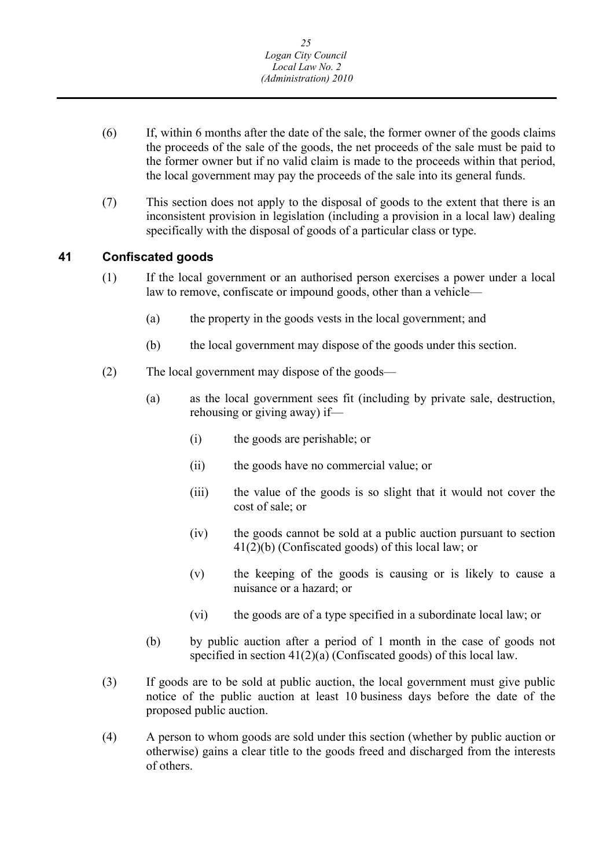- <span id="page-25-0"></span>(6) If, within 6 months after the date of the sale, the former owner of the goods claims the proceeds of the sale of the goods, the net proceeds of the sale must be paid to the former owner but if no valid claim is made to the proceeds within that period, the local government may pay the proceeds of the sale into its general funds.
- (7) This section does not apply to the disposal of goods to the extent that there is an inconsistent provision in legislation (including a provision in a local law) dealing specifically with the disposal of goods of a particular class or type.

#### **41 Confiscated goods**

- (1) If the local government or an authorised person exercises a power under a local law to remove, confiscate or impound goods, other than a vehicle—
	- (a) the property in the goods vests in the local government; and
	- (b) the local government may dispose of the goods under this section.
- (2) The local government may dispose of the goods—
	- (a) as the local government sees fit (including by private sale, destruction, rehousing or giving away) if—
		- (i) the goods are perishable; or
		- (ii) the goods have no commercial value; or
		- (iii) the value of the goods is so slight that it would not cover the cost of sale; or
		- (iv) the goods cannot be sold at a public auction pursuant to section 41(2)(b) (Confiscated goods) of this local law; or
		- (v) the keeping of the goods is causing or is likely to cause a nuisance or a hazard; or
		- (vi) the goods are of a type specified in a subordinate local law; or
	- (b) by public auction after a period of 1 month in the case of goods not specified in section 41(2)(a) (Confiscated goods) of this local law.
- (3) If goods are to be sold at public auction, the local government must give public notice of the public auction at least 10 business days before the date of the proposed public auction.
- (4) A person to whom goods are sold under this section (whether by public auction or otherwise) gains a clear title to the goods freed and discharged from the interests of others.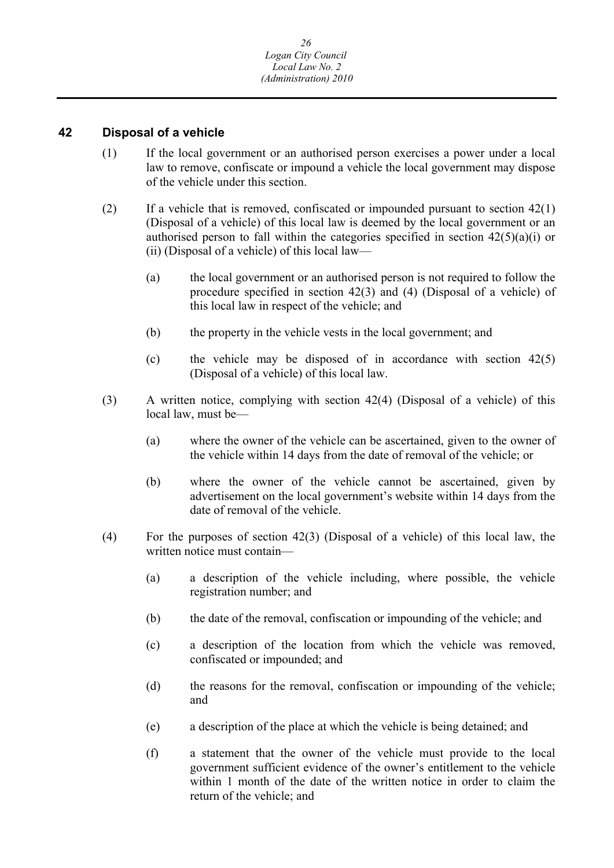#### <span id="page-26-0"></span>**42 Disposal of a vehicle**

- (1) If the local government or an authorised person exercises a power under a local law to remove, confiscate or impound a vehicle the local government may dispose of the vehicle under this section.
- (2) If a vehicle that is removed, confiscated or impounded pursuant to section 42(1) (Disposal of a vehicle) of this local law is deemed by the local government or an authorised person to fall within the categories specified in section  $42(5)(a)(i)$  or (ii) (Disposal of a vehicle) of this local law—
	- (a) the local government or an authorised person is not required to follow the procedure specified in section 42(3) and (4) (Disposal of a vehicle) of this local law in respect of the vehicle; and
	- (b) the property in the vehicle vests in the local government; and
	- (c) the vehicle may be disposed of in accordance with section 42(5) (Disposal of a vehicle) of this local law.
- (3) A written notice, complying with section 42(4) (Disposal of a vehicle) of this local law, must be—
	- (a) where the owner of the vehicle can be ascertained, given to the owner of the vehicle within 14 days from the date of removal of the vehicle; or
	- (b) where the owner of the vehicle cannot be ascertained, given by advertisement on the local government's website within 14 days from the date of removal of the vehicle.
- (4) For the purposes of section 42(3) (Disposal of a vehicle) of this local law, the written notice must contain—
	- (a) a description of the vehicle including, where possible, the vehicle registration number; and
	- (b) the date of the removal, confiscation or impounding of the vehicle; and
	- (c) a description of the location from which the vehicle was removed, confiscated or impounded; and
	- (d) the reasons for the removal, confiscation or impounding of the vehicle; and
	- (e) a description of the place at which the vehicle is being detained; and
	- (f) a statement that the owner of the vehicle must provide to the local government sufficient evidence of the owner's entitlement to the vehicle within 1 month of the date of the written notice in order to claim the return of the vehicle; and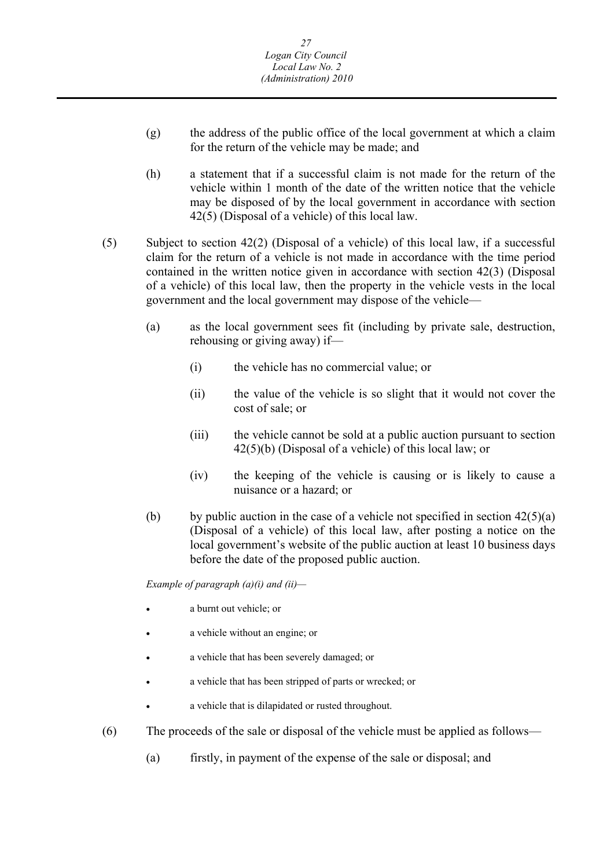- (g) the address of the public office of the local government at which a claim for the return of the vehicle may be made; and
- (h) a statement that if a successful claim is not made for the return of the vehicle within 1 month of the date of the written notice that the vehicle may be disposed of by the local government in accordance with section 42(5) (Disposal of a vehicle) of this local law.
- (5) Subject to section 42(2) (Disposal of a vehicle) of this local law, if a successful claim for the return of a vehicle is not made in accordance with the time period contained in the written notice given in accordance with section 42(3) (Disposal of a vehicle) of this local law, then the property in the vehicle vests in the local government and the local government may dispose of the vehicle—
	- (a) as the local government sees fit (including by private sale, destruction, rehousing or giving away) if—
		- (i) the vehicle has no commercial value; or
		- (ii) the value of the vehicle is so slight that it would not cover the cost of sale; or
		- (iii) the vehicle cannot be sold at a public auction pursuant to section 42(5)(b) (Disposal of a vehicle) of this local law; or
		- (iv) the keeping of the vehicle is causing or is likely to cause a nuisance or a hazard; or
	- (b) by public auction in the case of a vehicle not specified in section  $42(5)(a)$ (Disposal of a vehicle) of this local law, after posting a notice on the local government's website of the public auction at least 10 business days before the date of the proposed public auction.

 *Example of paragraph (a)(i) and (ii)—* 

- a burnt out vehicle; or
- a vehicle without an engine; or
- a vehicle that has been severely damaged; or
- a vehicle that has been stripped of parts or wrecked; or
- a vehicle that is dilapidated or rusted throughout.
- (6) The proceeds of the sale or disposal of the vehicle must be applied as follows—
	- (a) firstly, in payment of the expense of the sale or disposal; and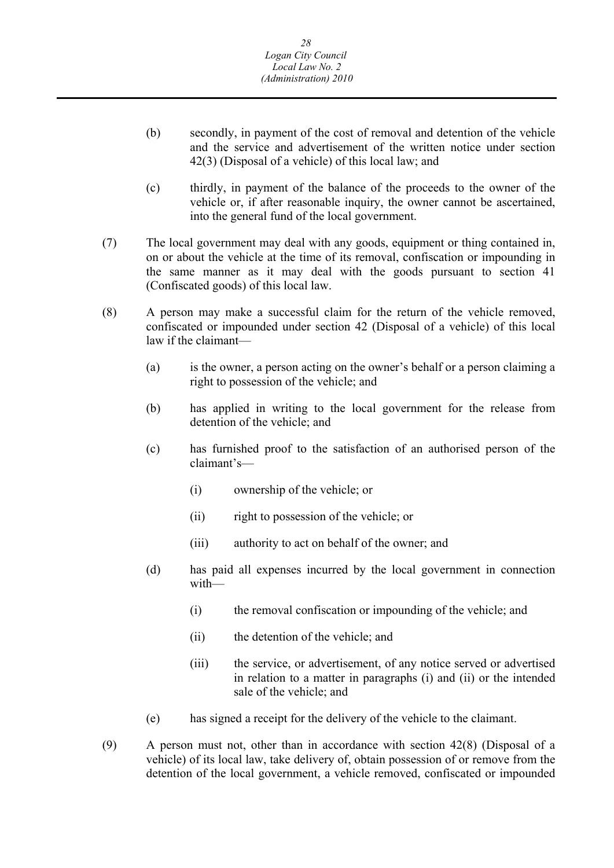- (b) secondly, in payment of the cost of removal and detention of the vehicle and the service and advertisement of the written notice under section 42(3) (Disposal of a vehicle) of this local law; and
- (c) thirdly, in payment of the balance of the proceeds to the owner of the vehicle or, if after reasonable inquiry, the owner cannot be ascertained, into the general fund of the local government.
- (7) The local government may deal with any goods, equipment or thing contained in, on or about the vehicle at the time of its removal, confiscation or impounding in the same manner as it may deal with the goods pursuant to section 41 (Confiscated goods) of this local law.
- (8) A person may make a successful claim for the return of the vehicle removed, confiscated or impounded under section 42 (Disposal of a vehicle) of this local law if the claimant
	- right to possession of the vehicle; and (a) is the owner, a person acting on the owner's behalf or a person claiming a
	- (b) has applied in writing to the local government for the release from detention of the vehicle; and
	- (c) has furnished proof to the satisfaction of an authorised person of the claimant's—
		- (i) ownership of the vehicle; or
		- (ii) right to possession of the vehicle; or
		- (iii) authority to act on behalf of the owner; and
	- (d) has paid all expenses incurred by the local government in connection with—
		- (i) the removal confiscation or impounding of the vehicle; and
		- (ii) the detention of the vehicle; and
		- (iii) the service, or advertisement, of any notice served or advertised in relation to a matter in paragraphs (i) and (ii) or the intended sale of the vehicle; and
	- (e) has signed a receipt for the delivery of the vehicle to the claimant.
- (9) A person must not, other than in accordance with section 42(8) (Disposal of a vehicle) of its local law, take delivery of, obtain possession of or remove from the detention of the local government, a vehicle removed, confiscated or impounded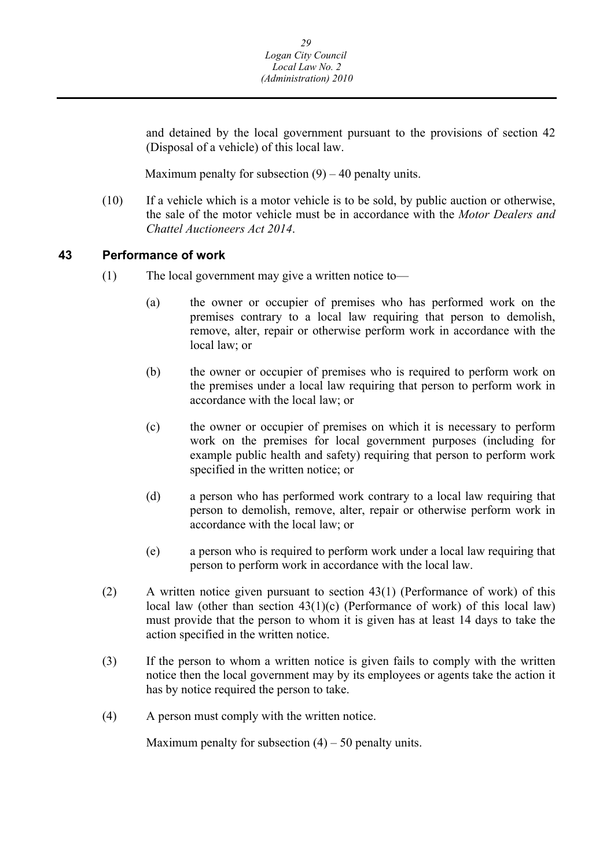<span id="page-29-0"></span>and detained by the local government pursuant to the provisions of section 42 (Disposal of a vehicle) of this local law.

Maximum penalty for subsection  $(9) - 40$  penalty units.

(10) If a vehicle which is a motor vehicle is to be sold, by public auction or otherwise, the sale of the motor vehicle must be in accordance with the *Motor Dealers and Chattel Auctioneers Act 2014*.

#### **43 Performance of work**

- (1) The local government may give a written notice to—
	- (a) the owner or occupier of premises who has performed work on the premises contrary to a local law requiring that person to demolish, remove, alter, repair or otherwise perform work in accordance with the local law; or
	- (b) the owner or occupier of premises who is required to perform work on the premises under a local law requiring that person to perform work in accordance with the local law; or
	- (c) the owner or occupier of premises on which it is necessary to perform work on the premises for local government purposes (including for example public health and safety) requiring that person to perform work specified in the written notice; or
	- (d) a person who has performed work contrary to a local law requiring that person to demolish, remove, alter, repair or otherwise perform work in accordance with the local law; or
	- (e) a person who is required to perform work under a local law requiring that person to perform work in accordance with the local law.
- (2) A written notice given pursuant to section 43(1) (Performance of work) of this local law (other than section  $43(1)(c)$  (Performance of work) of this local law) must provide that the person to whom it is given has at least 14 days to take the action specified in the written notice.
- (3) If the person to whom a written notice is given fails to comply with the written notice then the local government may by its employees or agents take the action it has by notice required the person to take.
- (4) A person must comply with the written notice.

Maximum penalty for subsection  $(4) - 50$  penalty units.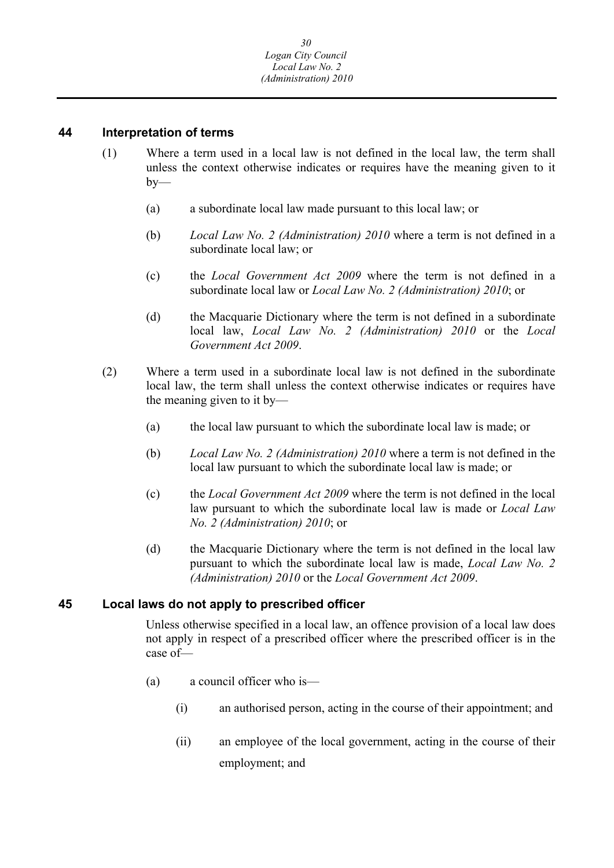### <span id="page-30-0"></span>**44 Interpretation of terms**

- (1) Where a term used in a local law is not defined in the local law, the term shall unless the context otherwise indicates or requires have the meaning given to it  $bv$ —
	- (a) a subordinate local law made pursuant to this local law; or
	- (b) *Local Law No. 2 (Administration) 2010* where a term is not defined in a subordinate local law; or
	- (c) the *Local Government Act 2009* where the term is not defined in a subordinate local law or *Local Law No. 2 (Administration) 2010*; or
	- (d) the Macquarie Dictionary where the term is not defined in a subordinate local law, *Local Law No. 2 (Administration) 2010* or the *Local Government Act 2009*.
- (2) Where a term used in a subordinate local law is not defined in the subordinate local law, the term shall unless the context otherwise indicates or requires have the meaning given to it by—
	- (a) the local law pursuant to which the subordinate local law is made; or
	- (b) *Local Law No. 2 (Administration) 2010* where a term is not defined in the local law pursuant to which the subordinate local law is made; or
	- (c) the *Local Government Act 2009* where the term is not defined in the local law pursuant to which the subordinate local law is made or *Local Law No. 2 (Administration) 2010*; or
	- (d) the Macquarie Dictionary where the term is not defined in the local law pursuant to which the subordinate local law is made, *Local Law No. 2 (Administration) 2010* or the *Local Government Act 2009*.

## **45 Local laws do not apply to prescribed officer**

Unless otherwise specified in a local law, an offence provision of a local law does not apply in respect of a prescribed officer where the prescribed officer is in the case of—

- (a) a council officer who is—
	- (i) an authorised person, acting in the course of their appointment; and
	- (ii) an employee of the local government, acting in the course of their employment; and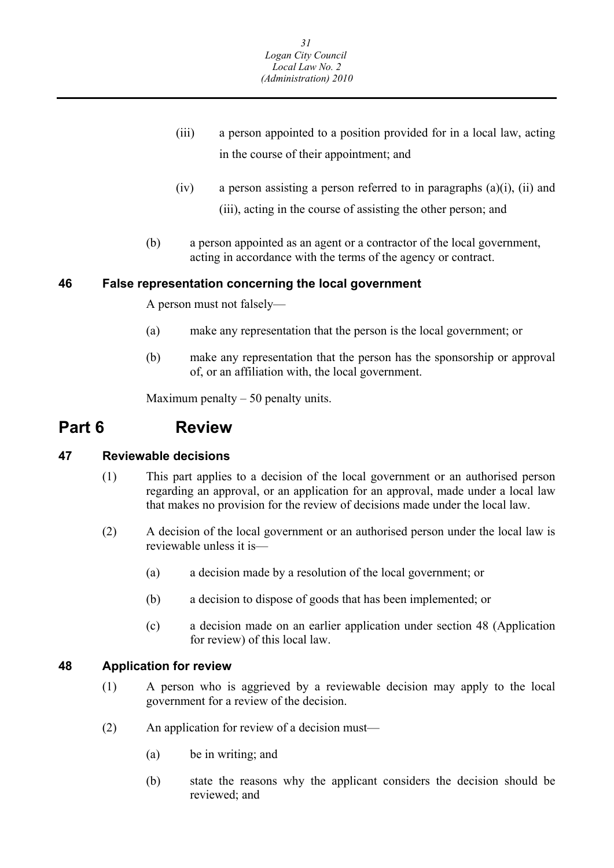- <span id="page-31-0"></span>(iii) a person appointed to a position provided for in a local law, acting in the course of their appointment; and
- $(iv)$  a person assisting a person referred to in paragraphs  $(a)(i)$ ,  $(ii)$  and (iii), acting in the course of assisting the other person; and
- (b) a person appointed as an agent or a contractor of the local government, acting in accordance with the terms of the agency or contract.

## **46 False representation concerning the local government**

A person must not falsely—

- (a) make any representation that the person is the local government; or
- (b) make any representation that the person has the sponsorship or approval of, or an affiliation with, the local government.

Maximum penalty  $-50$  penalty units.

## **Part 6 Review**

## **47 Reviewable decisions**

- (1) This part applies to a decision of the local government or an authorised person regarding an approval, or an application for an approval, made under a local law that makes no provision for the review of decisions made under the local law.
- (2) A decision of the local government or an authorised person under the local law is reviewable unless it is—
	- (a) a decision made by a resolution of the local government; or
	- (b) a decision to dispose of goods that has been implemented; or
	- (c) a decision made on an earlier application under section 48 (Application for review) of this local law.

## **48 Application for review**

- (1) A person who is aggrieved by a reviewable decision may apply to the local government for a review of the decision.
- (2) An application for review of a decision must—
	- (a) be in writing; and
	- (b) state the reasons why the applicant considers the decision should be reviewed; and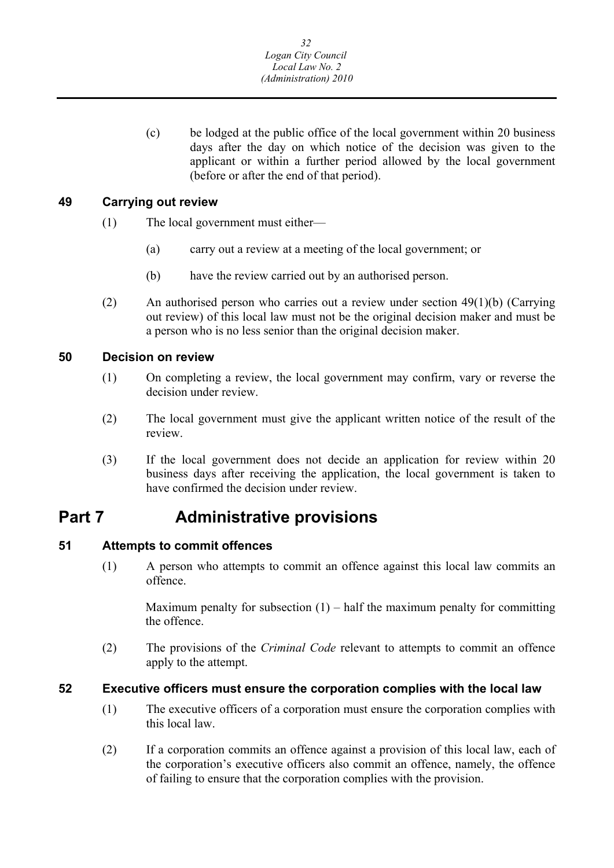<span id="page-32-0"></span>(c) be lodged at the public office of the local government within 20 business days after the day on which notice of the decision was given to the applicant or within a further period allowed by the local government (before or after the end of that period).

## **49 Carrying out review**

- (1) The local government must either—
	- (a) carry out a review at a meeting of the local government; or
	- (b) have the review carried out by an authorised person.
- (2) An authorised person who carries out a review under section 49(1)(b) (Carrying out review) of this local law must not be the original decision maker and must be a person who is no less senior than the original decision maker.

## **50 Decision on review**

- (1) On completing a review, the local government may confirm, vary or reverse the decision under review.
- (2) The local government must give the applicant written notice of the result of the review.
- (3) If the local government does not decide an application for review within 20 business days after receiving the application, the local government is taken to have confirmed the decision under review.

## **Part 7 Administrative provisions**

## **51 Attempts to commit offences**

(1) A person who attempts to commit an offence against this local law commits an offence.

Maximum penalty for subsection  $(1)$  – half the maximum penalty for committing the offence.

(2) The provisions of the *Criminal Code* relevant to attempts to commit an offence apply to the attempt.

#### **52 Executive officers must ensure the corporation complies with the local law**

- (1) The executive officers of a corporation must ensure the corporation complies with this local law.
- (2) If a corporation commits an offence against a provision of this local law, each of the corporation's executive officers also commit an offence, namely, the offence of failing to ensure that the corporation complies with the provision.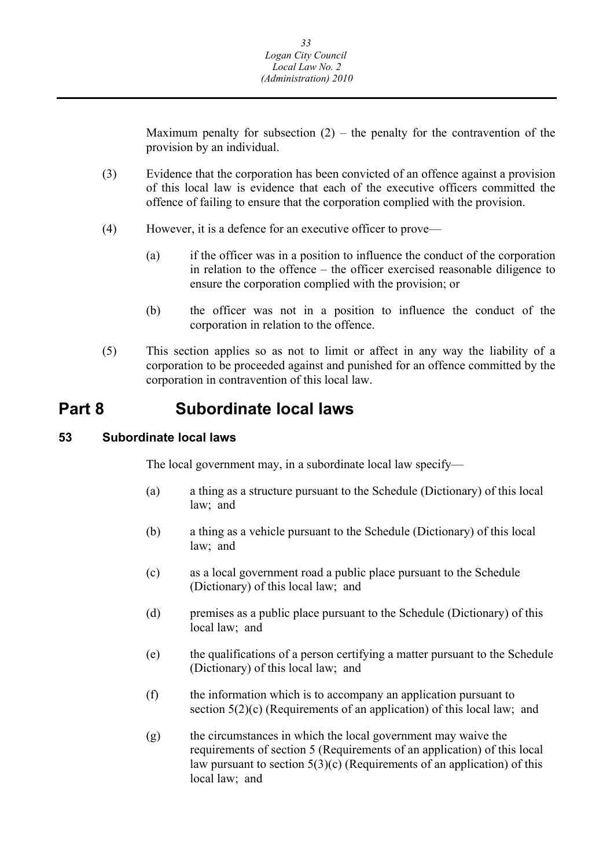<span id="page-33-0"></span>Maximum penalty for subsection  $(2)$  – the penalty for the contravention of the provision by an individual.

- (3) Evidence that the corporation has been convicted of an offence against a provision of this local law is evidence that each of the executive officers committed the offence of failing to ensure that the corporation complied with the provision.
- (4) However, it is a defence for an executive officer to prove—
	- (a) if the officer was in a position to influence the conduct of the corporation in relation to the offence – the officer exercised reasonable diligence to ensure the corporation complied with the provision; or
	- (b) the officer was not in a position to influence the conduct of the corporation in relation to the offence.
- (5) This section applies so as not to limit or affect in any way the liability of a corporation to be proceeded against and punished for an offence committed by the corporation in contravention of this local law.

## **Part 8 Subordinate local laws**

#### **53 Subordinate local laws**

The local government may, in a subordinate local law specify—

- (a) a thing as a structure pursuant to the Schedule (Dictionary) of this local law; and
- (b) a thing as a vehicle pursuant to the Schedule (Dictionary) of this local law; and
- (c) as a local government road a public place pursuant to the Schedule (Dictionary) of this local law; and
- (d) premises as a public place pursuant to the Schedule (Dictionary) of this local law; and
- (e) the qualifications of a person certifying a matter pursuant to the Schedule (Dictionary) of this local law; and
- (f) the information which is to accompany an application pursuant to section  $5(2)(c)$  (Requirements of an application) of this local law; and
- (g) the circumstances in which the local government may waive the requirements of section 5 (Requirements of an application) of this local law pursuant to section  $5(3)(c)$  (Requirements of an application) of this local law; and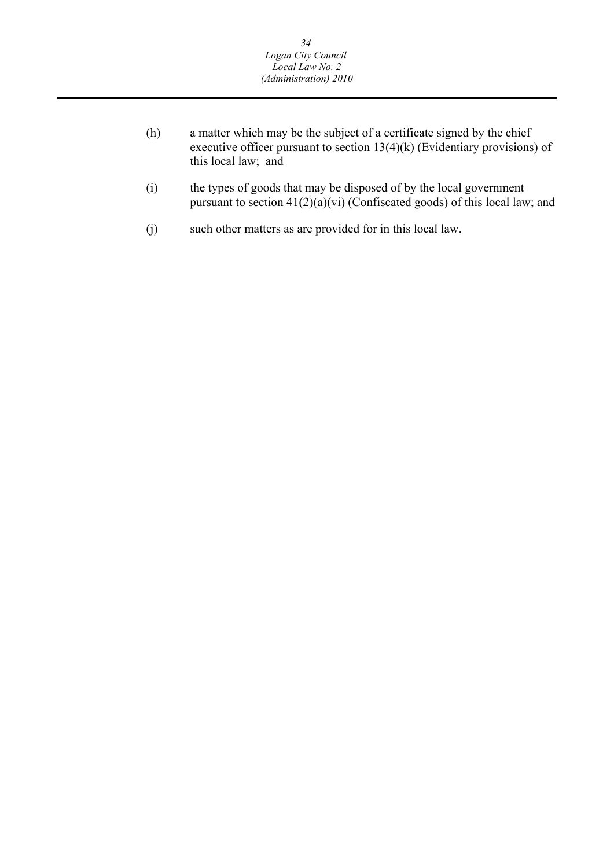- (h) a matter which may be the subject of a certificate signed by the chief executive officer pursuant to section 13(4)(k) (Evidentiary provisions) of this local law; and
- (i) the types of goods that may be disposed of by the local government pursuant to section  $41(2)(a)(vi)$  (Confiscated goods) of this local law; and
- (j) such other matters as are provided for in this local law.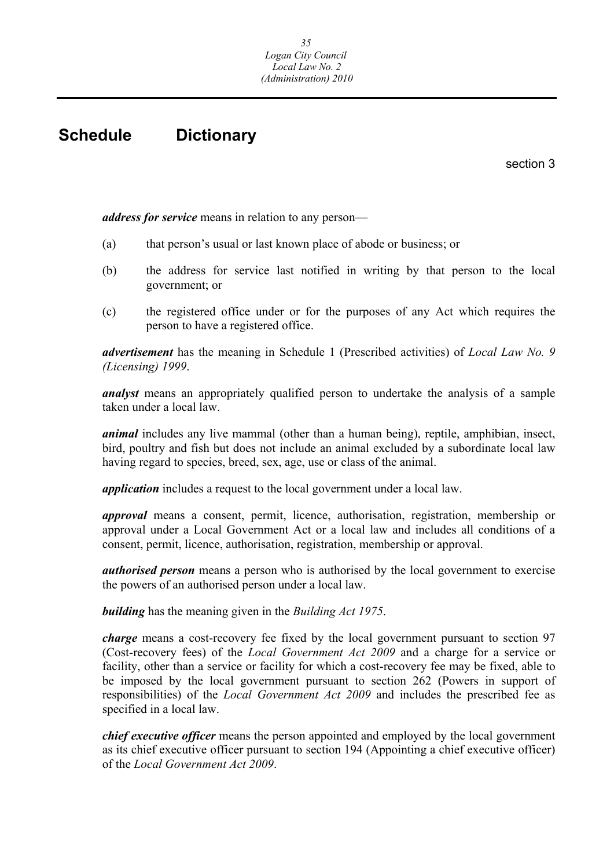## <span id="page-35-0"></span>**Schedule Dictionary**

section 3

*address for service* means in relation to any person—

- (a) that person's usual or last known place of abode or business; or
- (b) the address for service last notified in writing by that person to the local government; or
- (c) the registered office under or for the purposes of any Act which requires the person to have a registered office.

*advertisement* has the meaning in Schedule 1 (Prescribed activities) of *Local Law No. 9 (Licensing) 1999*.

*analyst* means an appropriately qualified person to undertake the analysis of a sample taken under a local law.

*animal* includes any live mammal (other than a human being), reptile, amphibian, insect, bird, poultry and fish but does not include an animal excluded by a subordinate local law having regard to species, breed, sex, age, use or class of the animal.

*application* includes a request to the local government under a local law.

*approval* means a consent, permit, licence, authorisation, registration, membership or approval under a Local Government Act or a local law and includes all conditions of a consent, permit, licence, authorisation, registration, membership or approval.

*authorised person* means a person who is authorised by the local government to exercise the powers of an authorised person under a local law.

*building* has the meaning given in the *Building Act 1975*.

*charge* means a cost-recovery fee fixed by the local government pursuant to section 97 (Cost-recovery fees) of the *Local Government Act 2009* and a charge for a service or facility, other than a service or facility for which a cost-recovery fee may be fixed, able to be imposed by the local government pursuant to section 262 (Powers in support of responsibilities) of the *Local Government Act 2009* and includes the prescribed fee as specified in a local law.

*chief executive officer* means the person appointed and employed by the local government as its chief executive officer pursuant to section 194 (Appointing a chief executive officer) of the *Local Government Act 2009*.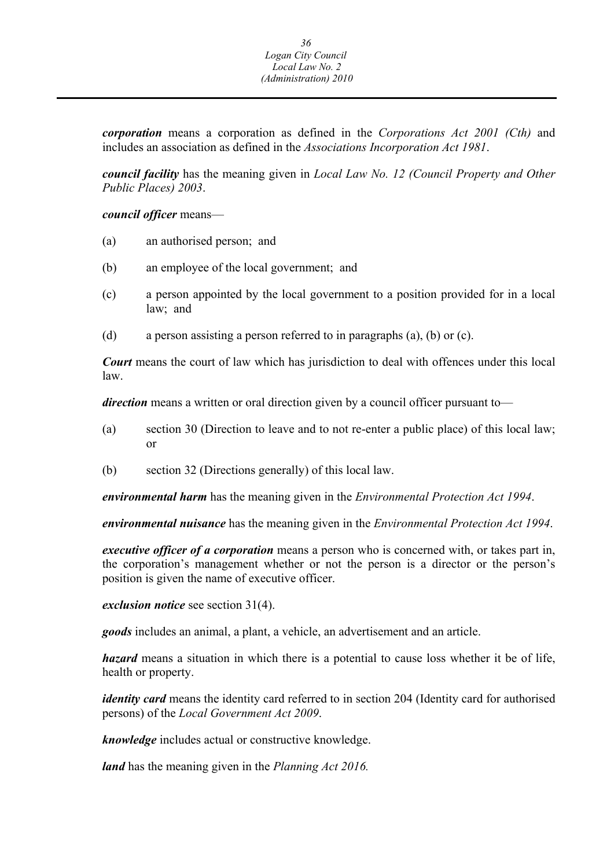*corporation* means a corporation as defined in the *Corporations Act 2001 (Cth)* and includes an association as defined in the *Associations Incorporation Act 1981*.

*council facility* has the meaning given in *Local Law No. 12 (Council Property and Other Public Places) 2003*.

*council officer* means—

- (a) an authorised person; and
- (b) an employee of the local government; and
- (c) a person appointed by the local government to a position provided for in a local law; and
- (d) a person assisting a person referred to in paragraphs (a), (b) or (c).

*Court* means the court of law which has jurisdiction to deal with offences under this local law.

*direction* means a written or oral direction given by a council officer pursuant to—

- (a) section 30 (Direction to leave and to not re-enter a public place) of this local law; or
- (b) section 32 (Directions generally) of this local law.

*environmental harm* has the meaning given in the *Environmental Protection Act 1994*.

*environmental nuisance* has the meaning given in the *Environmental Protection Act 1994*.

*executive officer of a corporation* means a person who is concerned with, or takes part in, the corporation's management whether or not the person is a director or the person's position is given the name of executive officer.

*exclusion notice* see section 31(4).

*goods* includes an animal, a plant, a vehicle, an advertisement and an article.

*hazard* means a situation in which there is a potential to cause loss whether it be of life, health or property.

*identity card* means the identity card referred to in section 204 (Identity card for authorised persons) of the *Local Government Act 2009*.

*knowledge* includes actual or constructive knowledge.

*land* has the meaning given in the *Planning Act 2016.*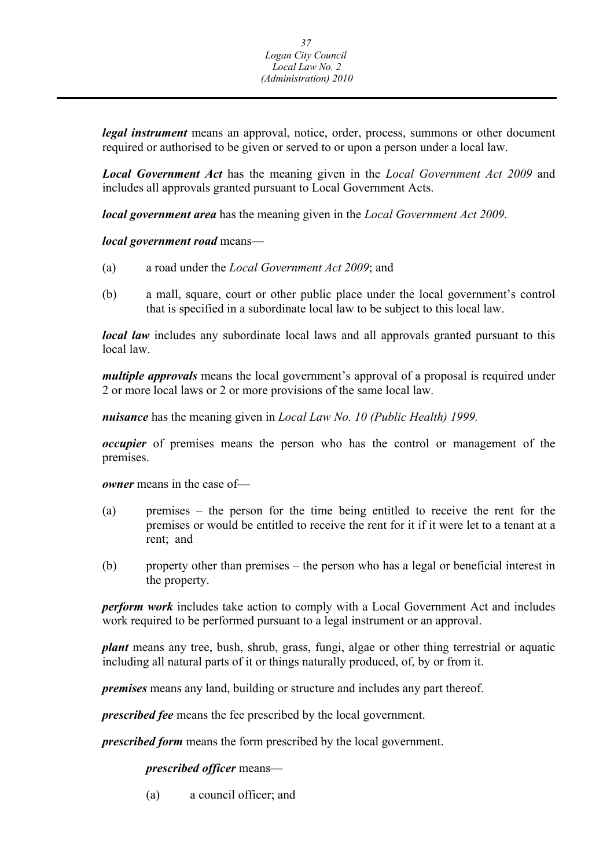*legal instrument* means an approval, notice, order, process, summons or other document required or authorised to be given or served to or upon a person under a local law.

*Local Government Act* has the meaning given in the *Local Government Act 2009* and includes all approvals granted pursuant to Local Government Acts.

*local government area* has the meaning given in the *Local Government Act 2009*.

*local government road* means—

- (a) a road under the *Local Government Act 2009*; and
- (b) a mall, square, court or other public place under the local government's control that is specified in a subordinate local law to be subject to this local law.

*local law* includes any subordinate local laws and all approvals granted pursuant to this local law.

*multiple approvals* means the local government's approval of a proposal is required under 2 or more local laws or 2 or more provisions of the same local law.

*nuisance* has the meaning given in *Local Law No. 10 (Public Health) 1999.* 

*occupier* of premises means the person who has the control or management of the premises.

*owner* means in the case of—

- (a) premises the person for the time being entitled to receive the rent for the premises or would be entitled to receive the rent for it if it were let to a tenant at a rent; and
- (b) property other than premises the person who has a legal or beneficial interest in the property.

*perform work* includes take action to comply with a Local Government Act and includes work required to be performed pursuant to a legal instrument or an approval.

*plant* means any tree, bush, shrub, grass, fungi, algae or other thing terrestrial or aquatic including all natural parts of it or things naturally produced, of, by or from it.

*premises* means any land, building or structure and includes any part thereof.

*prescribed fee* means the fee prescribed by the local government.

*prescribed form* means the form prescribed by the local government.

*prescribed officer* means—

(a) a council officer; and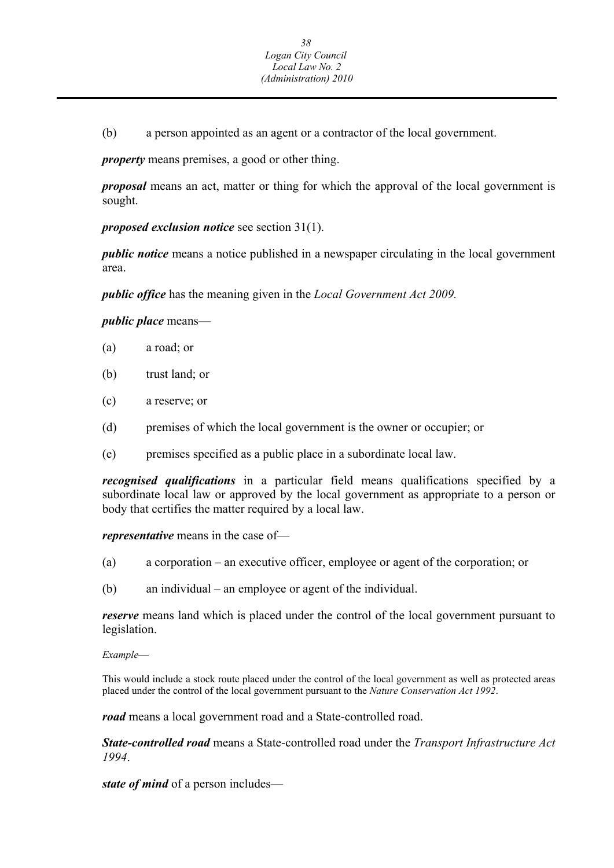(b) a person appointed as an agent or a contractor of the local government.

*property* means premises, a good or other thing.

*proposal* means an act, matter or thing for which the approval of the local government is sought.

*proposed exclusion notice* see section 31(1).

*public notice* means a notice published in a newspaper circulating in the local government area.

*public office* has the meaning given in the *Local Government Act 2009.* 

*public place* means—

- (a) a road; or
- (b) trust land; or
- (c) a reserve; or
- (d) premises of which the local government is the owner or occupier; or
- (e) premises specified as a public place in a subordinate local law.

*recognised qualifications* in a particular field means qualifications specified by a subordinate local law or approved by the local government as appropriate to a person or body that certifies the matter required by a local law.

*representative* means in the case of—

- (a) a corporation an executive officer, employee or agent of the corporation; or
- (b) an individual an employee or agent of the individual.

*reserve* means land which is placed under the control of the local government pursuant to legislation.

*Example*—

This would include a stock route placed under the control of the local government as well as protected areas placed under the control of the local government pursuant to the *Nature Conservation Act 1992*.

*road* means a local government road and a State-controlled road.

*State-controlled road* means a State-controlled road under the *Transport Infrastructure Act 1994*.

*state of mind* of a person includes—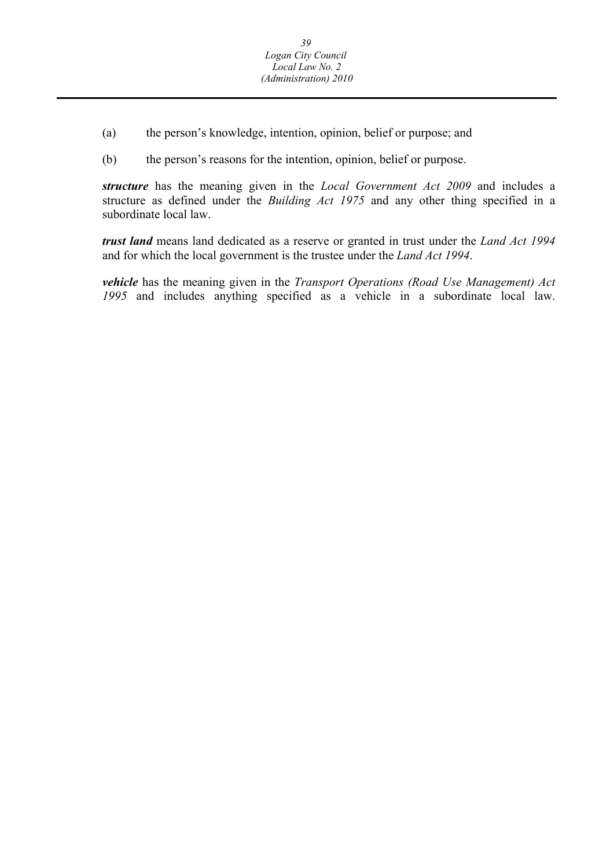- (a) the person's knowledge, intention, opinion, belief or purpose; and
- (b) the person's reasons for the intention, opinion, belief or purpose.

*structure* has the meaning given in the *Local Government Act 2009* and includes a structure as defined under the *Building Act 1975* and any other thing specified in a subordinate local law.

*trust land* means land dedicated as a reserve or granted in trust under the *Land Act 1994*  and for which the local government is the trustee under the *Land Act 1994*.

*vehicle* has the meaning given in the *Transport Operations (Road Use Management) Act 1995* and includes anything specified as a vehicle in a subordinate local law.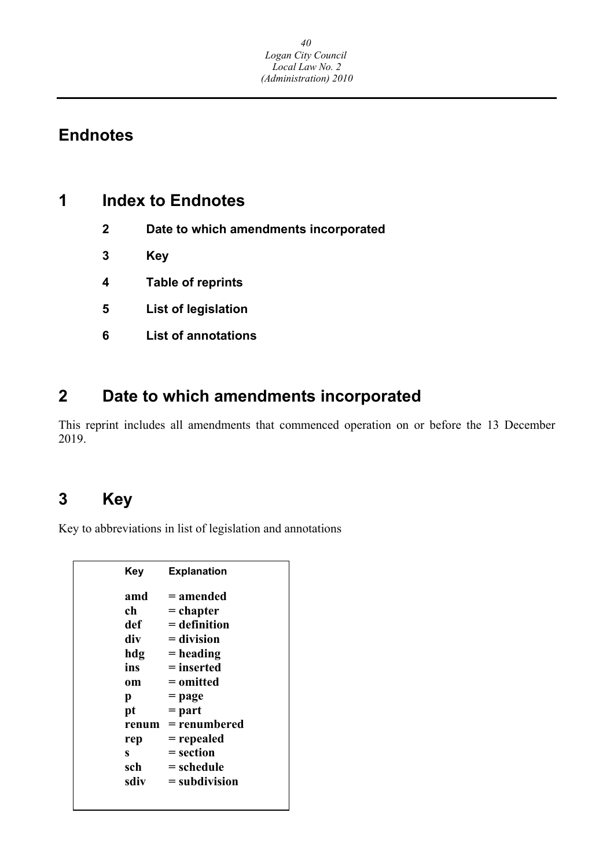## **Endnotes**

## **1 Index to Endnotes**

- **2 Date to which amendments incorporated**
- **3 Key**
- **4 Table of reprints**
- **5 List of legislation**
- **6 List of annotations**

## **2 Date to which amendments incorporated**

This reprint includes all amendments that commenced operation on or before the 13 December 2019.

## **3 Key**

Key to abbreviations in list of legislation and annotations

| <b>Key</b> | <b>Explanation</b> |
|------------|--------------------|
| amd        | = amended          |
| ch         | $=$ chapter        |
| def        | $=$ definition     |
| div        | $=$ division       |
| hdg        | $=$ heading        |
| ins        | $=$ inserted       |
| 0m         | = omitted          |
| p          | = page             |
| pt         | $=$ part           |
| renum      | = renumbered       |
| rep        | = repealed         |
| S          | = section          |
| sch        | = schedule         |
| sdiv       | $=$ subdivision    |
|            |                    |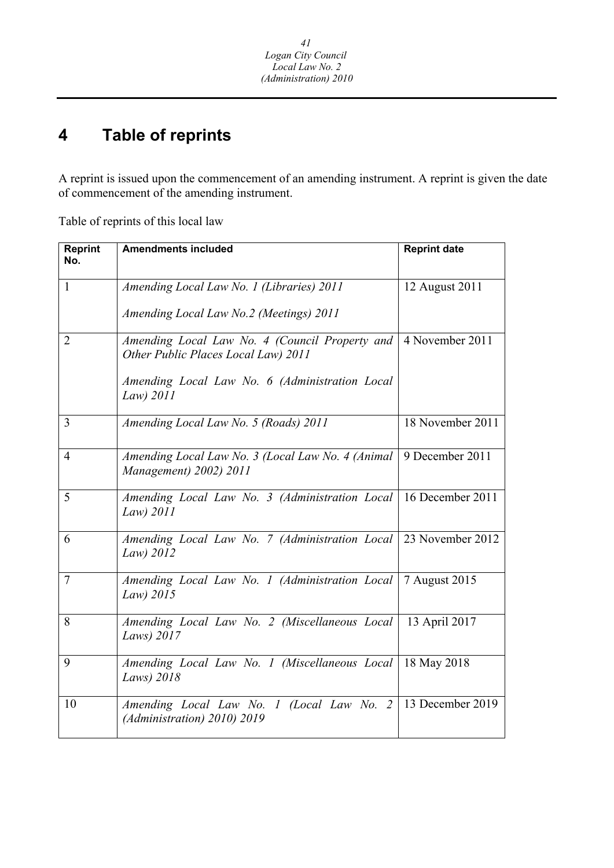#### **4 Table of reprints**

A reprint is issued upon the commencement of an amending instrument. A reprint is given the date of commencement of the amending instrument.

Table of reprints of this local law

| <b>Reprint</b><br>No. | <b>Amendments included</b>                                                            | <b>Reprint date</b> |
|-----------------------|---------------------------------------------------------------------------------------|---------------------|
|                       |                                                                                       |                     |
| $\mathbf{1}$          | Amending Local Law No. 1 (Libraries) 2011                                             | 12 August 2011      |
|                       | Amending Local Law No.2 (Meetings) 2011                                               |                     |
| $\overline{2}$        | Amending Local Law No. 4 (Council Property and<br>Other Public Places Local Law) 2011 | 4 November 2011     |
|                       | Amending Local Law No. 6 (Administration Local<br>$Law)$ 2011                         |                     |
| 3                     | Amending Local Law No. 5 (Roads) 2011                                                 | 18 November 2011    |
| $\overline{4}$        | Amending Local Law No. 3 (Local Law No. 4 (Animal<br>Management) 2002) 2011           | 9 December 2011     |
| 5                     | Amending Local Law No. 3 (Administration Local<br>Law) 2011                           | 16 December 2011    |
| 6                     | Amending Local Law No. 7 (Administration Local 23 November 2012<br>Law) 2012          |                     |
| 7                     | Amending Local Law No. 1 (Administration Local   7 August 2015<br>Law) 2015           |                     |
| 8                     | Amending Local Law No. 2 (Miscellaneous Local  <br>Laws) 2017                         | 13 April 2017       |
| 9                     | Amending Local Law No. 1 (Miscellaneous Local   18 May 2018<br>Laws) 2018             |                     |
| 10                    | Amending Local Law No. 1 (Local Law No. 2<br>(Administration) 2010) 2019              | 13 December 2019    |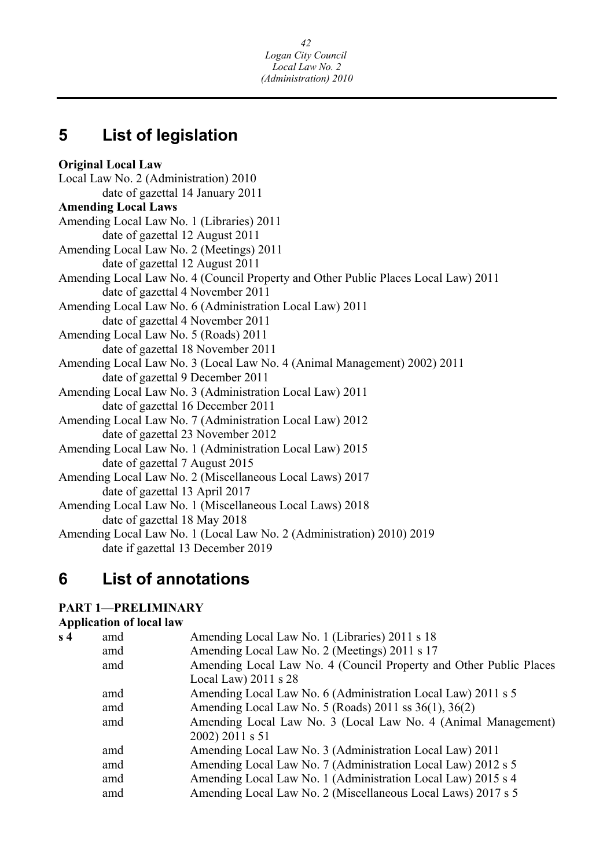## **5 List of legislation**

**Original Local Law**  Local Law No. 2 (Administration) 2010 date of gazettal 14 January 2011 **Amending Local Laws**  Amending Local Law No. 1 (Libraries) 2011 date of gazettal 12 August 2011 Amending Local Law No. 2 (Meetings) 2011 date of gazettal 12 August 2011 Amending Local Law No. 4 (Council Property and Other Public Places Local Law) 2011 date of gazettal 4 November 2011 Amending Local Law No. 6 (Administration Local Law) 2011 date of gazettal 4 November 2011 Amending Local Law No. 5 (Roads) 2011 date of gazettal 18 November 2011 Amending Local Law No. 3 (Local Law No. 4 (Animal Management) 2002) 2011 date of gazettal 9 December 2011 Amending Local Law No. 3 (Administration Local Law) 2011 date of gazettal 16 December 2011 Amending Local Law No. 7 (Administration Local Law) 2012 date of gazettal 23 November 2012 Amending Local Law No. 1 (Administration Local Law) 2015 date of gazettal 7 August 2015 Amending Local Law No. 2 (Miscellaneous Local Laws) 2017 date of gazettal 13 April 2017 Amending Local Law No. 1 (Miscellaneous Local Laws) 2018 date of gazettal 18 May 2018 Amending Local Law No. 1 (Local Law No. 2 (Administration) 2010) 2019 date if gazettal 13 December 2019

## **6 List of annotations**

## **PART 1**—**PRELIMINARY**

## **Application of local law**

| s <sub>4</sub> | amd | Amending Local Law No. 1 (Libraries) 2011 s 18                     |
|----------------|-----|--------------------------------------------------------------------|
|                | amd | Amending Local Law No. 2 (Meetings) 2011 s 17                      |
|                | amd | Amending Local Law No. 4 (Council Property and Other Public Places |
|                |     | Local Law) $2011$ s $28$                                           |
|                | amd | Amending Local Law No. 6 (Administration Local Law) 2011 s 5       |
|                | amd | Amending Local Law No. 5 (Roads) 2011 ss 36(1), 36(2)              |
|                | amd | Amending Local Law No. 3 (Local Law No. 4 (Animal Management)      |
|                |     | 2002) 2011 s 51                                                    |
|                | amd | Amending Local Law No. 3 (Administration Local Law) 2011           |
|                | amd | Amending Local Law No. 7 (Administration Local Law) 2012 s 5       |
|                | amd | Amending Local Law No. 1 (Administration Local Law) 2015 s 4       |
|                | amd | Amending Local Law No. 2 (Miscellaneous Local Laws) 2017 s 5       |